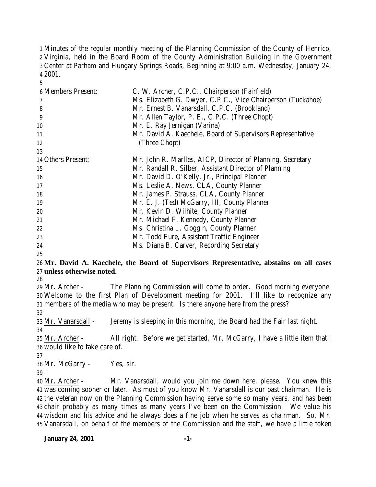Minutes of the regular monthly meeting of the Planning Commission of the County of Henrico, Virginia, held in the Board Room of the County Administration Building in the Government Center at Parham and Hungary Springs Roads, Beginning at 9:00 a.m. Wednesday, January 24, 2001.

| <b>6 Members Present:</b> | C. W. Archer, C.P.C., Chairperson (Fairfield)               |
|---------------------------|-------------------------------------------------------------|
|                           | Ms. Elizabeth G. Dwyer, C.P.C., Vice Chairperson (Tuckahoe) |
| 8                         | Mr. Ernest B. Vanarsdall, C.P.C. (Brookland)                |
| 9                         | Mr. Allen Taylor, P. E., C.P.C. (Three Chopt)               |
| 10                        | Mr. E. Ray Jernigan (Varina)                                |
| 11                        | Mr. David A. Kaechele, Board of Supervisors Representative  |
| 12                        | (Three Chopt)                                               |
| 13                        |                                                             |
| 14 Others Present:        | Mr. John R. Marlles, AICP, Director of Planning, Secretary  |
| 15                        | Mr. Randall R. Silber, Assistant Director of Planning       |
| 16                        | Mr. David D. O'Kelly, Jr., Principal Planner                |
| 17                        | Ms. Leslie A. News, CLA, County Planner                     |
| 18                        | Mr. James P. Strauss, CLA, County Planner                   |
| 19                        | Mr. E. J. (Ted) McGarry, III, County Planner                |
| 20                        | Mr. Kevin D. Wilhite, County Planner                        |
| 21                        | Mr. Michael F. Kennedy, County Planner                      |
| 22                        | Ms. Christina L. Goggin, County Planner                     |
| 23                        | Mr. Todd Eure, Assistant Traffic Engineer                   |
| 24                        | Ms. Diana B. Carver, Recording Secretary                    |

# **Mr. David A. Kaechele, the Board of Supervisors Representative, abstains on all cases unless otherwise noted.**

 Mr. Archer - The Planning Commission will come to order. Good morning everyone. Welcome to the first Plan of Development meeting for 2001. I'll like to recognize any members of the media who may be present. Is there anyone here from the press?

Mr. Vanarsdall - Jeremy is sleeping in this morning, the Board had the Fair last night.

 Mr. Archer - All right. Before we get started, Mr. McGarry, I have a little item that I would like to take care of.

Mr. McGarry - Yes, sir.

 Mr. Archer - Mr. Vanarsdall, would you join me down here, please. You knew this was coming sooner or later. As most of you know Mr. Vanarsdall is our past chairman. He is the veteran now on the Planning Commission having serve some so many years, and has been chair probably as many times as many years I've been on the Commission. We value his wisdom and his advice and he always does a fine job when he serves as chairman. So, Mr. Vanarsdall, on behalf of the members of the Commission and the staff, we have a little token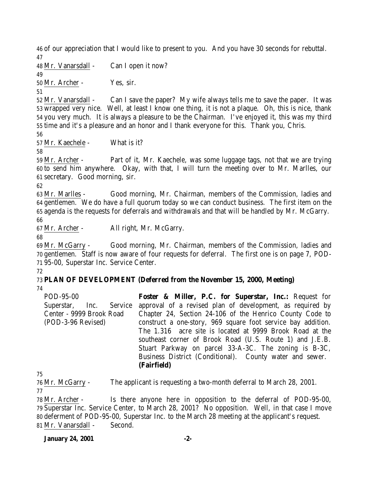of our appreciation that I would like to present to you. And you have 30 seconds for rebuttal. 

Mr. Vanarsdall - Can I open it now?

 Mr. Archer - Yes, sir.

 Mr. Vanarsdall - Can I save the paper? My wife always tells me to save the paper. It was wrapped very nice. Well, at least I know one thing, it is not a plaque. Oh, this is nice, thank you very much. It is always a pleasure to be the Chairman. I've enjoyed it, this was my third time and it's a pleasure and an honor and I thank everyone for this. Thank you, Chris.

Mr. Kaechele - What is it?

 Mr. Archer - Part of it, Mr. Kaechele, was some luggage tags, not that we are trying to send him anywhere. Okay, with that, I will turn the meeting over to Mr. Marlles, our secretary. Good morning, sir.

 Mr. Marlles - Good morning, Mr. Chairman, members of the Commission, ladies and gentlemen. We do have a full quorum today so we can conduct business. The first item on the agenda is the requests for deferrals and withdrawals and that will be handled by Mr. McGarry. 

Mr. Archer - All right, Mr. McGarry.

 Mr. McGarry - Good morning, Mr. Chairman, members of the Commission, ladies and gentlemen. Staff is now aware of four requests for deferral. The first one is on page 7, POD-95-00, Superstar Inc. Service Center.

### **PLAN OF DEVELOPMENT (Deferred from the November 15, 2000, Meeting)**

POD-95-00 Superstar, Inc. Service Center - 9999 Brook Road (POD-3-96 Revised) **Foster & Miller, P.C. for Superstar, Inc.:** Request for approval of a revised plan of development, as required by Chapter 24, Section 24-106 of the Henrico County Code to construct a one-story, 969 square foot service bay addition. The 1.316 acre site is located at 9999 Brook Road at the southeast corner of Brook Road (U.S. Route 1) and J.E.B. Stuart Parkway on parcel 33-A-3C. The zoning is B-3C, Business District (Conditional). County water and sewer. **(Fairfield)**

Mr. McGarry - The applicant is requesting a two-month deferral to March 28, 2001.

 Mr. Archer - Is there anyone here in opposition to the deferral of POD-95-00, Superstar Inc. Service Center, to March 28, 2001? No opposition. Well, in that case I move deferment of POD-95-00, Superstar Inc. to the March 28 meeting at the applicant's request. Mr. Vanarsdall - Second.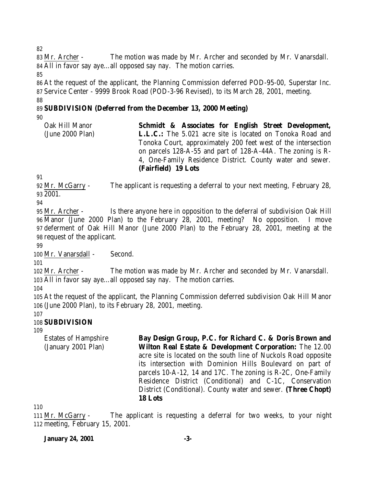Mr. Archer - The motion was made by Mr. Archer and seconded by Mr. Vanarsdall. All in favor say aye…all opposed say nay. The motion carries. 

 At the request of the applicant, the Planning Commission deferred POD-95-00, Superstar Inc. Service Center - 9999 Brook Road (POD-3-96 Revised), to its March 28, 2001, meeting. 

# **SUBDIVISION (Deferred from the December 13, 2000 Meeting)**

| Oak Hill Manor   | Schmidt & Associates for English Street Development,             |
|------------------|------------------------------------------------------------------|
| (June 2000 Plan) | <b>L.L.C.:</b> The 5.021 acre site is located on Tonoka Road and |
|                  | Tonoka Court, approximately 200 feet west of the intersection    |
|                  | on parcels 128-A-55 and part of 128-A-44A. The zoning is R-      |
|                  | 4, One-Family Residence District. County water and sewer.        |
|                  | (Fairfield) 19 Lots                                              |

 Mr. McGarry - The applicant is requesting a deferral to your next meeting, February 28, 2001.

 Mr. Archer - Is there anyone here in opposition to the deferral of subdivision Oak Hill Manor (June 2000 Plan) to the February 28, 2001, meeting? No opposition. I move deferment of Oak Hill Manor (June 2000 Plan) to the February 28, 2001, meeting at the request of the applicant.

Mr. Vanarsdall - Second.

 Mr. Archer - The motion was made by Mr. Archer and seconded by Mr. Vanarsdall. All in favor say aye…all opposed say nay. The motion carries.

 At the request of the applicant, the Planning Commission deferred subdivision Oak Hill Manor (June 2000 Plan), to its February 28, 2001, meeting.

# **SUBDIVISION**

Estates of Hampshire (January 2001 Plan)

**Bay Design Group, P.C. for Richard C. & Doris Brown and Wilton Real Estate & Development Corporation:** The 12.00 acre site is located on the south line of Nuckols Road opposite its intersection with Dominion Hills Boulevard on part of parcels 10-A-12, 14 and 17C. The zoning is R-2C, One-Family Residence District (Conditional) and C-1C, Conservation District (Conditional). County water and sewer. **(Three Chopt) 18 Lots**

 Mr. McGarry - The applicant is requesting a deferral for two weeks, to your night meeting, February 15, 2001.

# **January 24, 2001 -3-**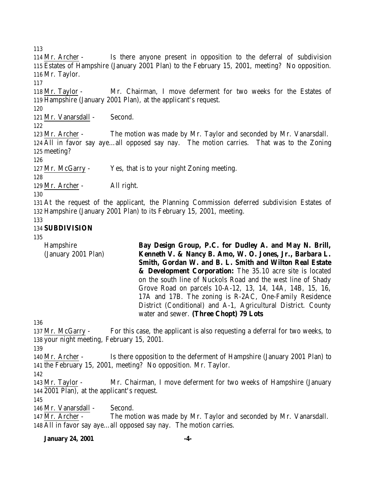Mr. Archer - Is there anyone present in opposition to the deferral of subdivision Estates of Hampshire (January 2001 Plan) to the February 15, 2001, meeting? No opposition. Mr. Taylor.

 Mr. Taylor - Mr. Chairman, I move deferment for two weeks for the Estates of Hampshire (January 2001 Plan), at the applicant's request.

Mr. Vanarsdall - Second.

 Mr. Archer - The motion was made by Mr. Taylor and seconded by Mr. Vanarsdall. All in favor say aye…all opposed say nay. The motion carries. That was to the Zoning meeting?

Mr. McGarry - Yes, that is to your night Zoning meeting.

Mr. Archer - All right.

 At the request of the applicant, the Planning Commission deferred subdivision Estates of Hampshire (January 2001 Plan) to its February 15, 2001, meeting.

# **SUBDIVISION**

Hampshire (January 2001 Plan) **Bay Design Group, P.C. for Dudley A. and May N. Brill, Kenneth V. & Nancy B. Amo, W. O. Jones, Jr., Barbara L. Smith, Gordan W. and B. L. Smith and Wilton Real Estate & Development Corporation:** The 35.10 acre site is located on the south line of Nuckols Road and the west line of Shady Grove Road on parcels 10-A-12, 13, 14, 14A, 14B, 15, 16, 17A and 17B. The zoning is R-2AC, One-Family Residence District (Conditional) and A-1, Agricultural District. County water and sewer. **(Three Chopt) 79 Lots**

 Mr. McGarry - For this case, the applicant is also requesting a deferral for two weeks, to your night meeting, February 15, 2001.

 Mr. Archer - Is there opposition to the deferment of Hampshire (January 2001 Plan) to the February 15, 2001, meeting? No opposition. Mr. Taylor.

 Mr. Taylor - Mr. Chairman, I move deferment for two weeks of Hampshire (January 2001 Plan), at the applicant's request.

146 Mr. Vanarsdall - Second.

 Mr. Archer - The motion was made by Mr. Taylor and seconded by Mr. Vanarsdall. All in favor say aye…all opposed say nay. The motion carries.

# **January 24, 2001 -4-**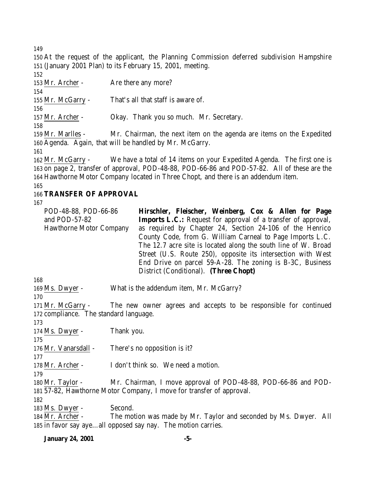At the request of the applicant, the Planning Commission deferred subdivision Hampshire (January 2001 Plan) to its February 15, 2001, meeting.

153 Mr. Archer - Are there any more? Mr. McGarry - That's all that staff is aware of. Mr. Archer - Okay. Thank you so much. Mr. Secretary. Mr. Marlles - Mr. Chairman, the next item on the agenda are items on the Expedited Agenda. Again, that will be handled by Mr. McGarry. Mr. McGarry - We have a total of 14 items on your Expedited Agenda. The first one is on page 2, transfer of approval, POD-48-88, POD-66-86 and POD-57-82. All of these are the Hawthorne Motor Company located in Three Chopt, and there is an addendum item. **TRANSFER OF APPROVAL**

| POD-48-88, POD-66-86           | Hirschler, Fleischer, Weinberg, Cox & Allen for Page                 |
|--------------------------------|----------------------------------------------------------------------|
| and $POD-57-82$                | <b>Imports L.C.:</b> Request for approval of a transfer of approval, |
| <b>Hawthorne Motor Company</b> | as required by Chapter 24, Section 24-106 of the Henrico             |
|                                | County Code, from G. William Carneal to Page Imports L.C.            |
|                                | The 12.7 acre site is located along the south line of W. Broad       |
|                                | Street (U.S. Route 250), opposite its intersection with West         |
|                                | End Drive on parcel 59-A-28. The zoning is B-3C, Business            |
|                                | District (Conditional). (Three Chopt)                                |
| 168                            |                                                                      |

Ms. Dwyer - What is the addendum item, Mr. McGarry?

 Mr. McGarry - The new owner agrees and accepts to be responsible for continued 172 compliance. The standard language.

Ms. Dwyer - Thank you.

176 Mr. Vanarsdall - There's no opposition is it?

178 Mr. Archer - I don't think so. We need a motion.

 Mr. Taylor - Mr. Chairman, I move approval of POD-48-88, POD-66-86 and POD-57-82, Hawthorne Motor Company, I move for transfer of approval.

183 Ms. Dwyer - Second.

 Mr. Archer - The motion was made by Mr. Taylor and seconded by Ms. Dwyer. All in favor say aye…all opposed say nay. The motion carries.

## **January 24, 2001 -5-**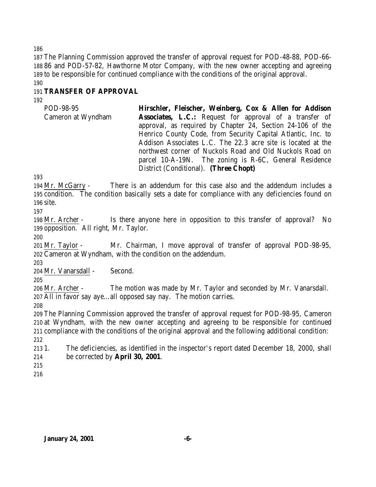The Planning Commission approved the transfer of approval request for POD-48-88, POD-66- 86 and POD-57-82, Hawthorne Motor Company, with the new owner accepting and agreeing to be responsible for continued compliance with the conditions of the original approval. 

# **TRANSFER OF APPROVAL**

POD-98-95 Cameron at Wyndham **Hirschler, Fleischer, Weinberg, Cox & Allen for Addison Associates, L.C.:** Request for approval of a transfer of approval, as required by Chapter 24, Section 24-106 of the Henrico County Code, from Security Capital Atlantic, Inc. to Addison Associates L.C. The 22.3 acre site is located at the northwest corner of Nuckols Road and Old Nuckols Road on parcel 10-A-19N. The zoning is R-6C, General Residence District (Conditional). **(Three Chopt)**

 Mr. McGarry - There is an addendum for this case also and the addendum includes a condition. The condition basically sets a date for compliance with any deficiencies found on site.

 Mr. Archer - Is there anyone here in opposition to this transfer of approval? No opposition. All right, Mr. Taylor.

 Mr. Taylor - Mr. Chairman, I move approval of transfer of approval POD-98-95, Cameron at Wyndham, with the condition on the addendum.

Mr. Vanarsdall - Second.

 Mr. Archer - The motion was made by Mr. Taylor and seconded by Mr. Vanarsdall. All in favor say aye…all opposed say nay. The motion carries.

 The Planning Commission approved the transfer of approval request for POD-98-95, Cameron at Wyndham, with the new owner accepting and agreeing to be responsible for continued compliance with the conditions of the original approval and the following additional condition: 

 1. The deficiencies, as identified in the inspector's report dated December 18, 2000, shall be corrected by **April 30, 2001**.

- 
-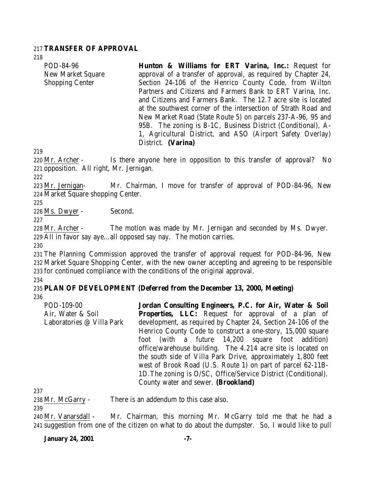## 217 **TRANSFER OF APPROVAL**

218

| POD-84-96              | Hunton & Williams for ERT Varina, Inc.: Request for            |  |  |  |  |  |
|------------------------|----------------------------------------------------------------|--|--|--|--|--|
| New Market Square      | approval of a transfer of approval, as required by Chapter 24, |  |  |  |  |  |
| <b>Shopping Center</b> | Section 24-106 of the Henrico County Code, from Wilton         |  |  |  |  |  |
|                        | Partners and Citizens and Farmers Bank to ERT Varina, Inc.     |  |  |  |  |  |
|                        | and Citizens and Farmers Bank. The 12.7 acre site is located   |  |  |  |  |  |
|                        | at the southwest corner of the intersection of Strath Road and |  |  |  |  |  |
|                        | New Market Road (State Route 5) on parcels 237-A-96, 95 and    |  |  |  |  |  |
|                        | 95B. The zoning is B-1C, Business District (Conditional), A-   |  |  |  |  |  |
|                        | 1, Agricultural District, and ASO (Airport Safety Overlay)     |  |  |  |  |  |
|                        | District. (Varina)                                             |  |  |  |  |  |

219

220 Mr. Archer - Is there anyone here in opposition to this transfer of approval? No 221 opposition. All right, Mr. Jernigan.

222

223 Mr. Jernigan- Mr. Chairman, I move for transfer of approval of POD-84-96, New 224 Market Square shopping Center.

225

226 Ms. Dwyer - Second.

227

228 Mr. Archer - The motion was made by Mr. Jernigan and seconded by Ms. Dwyer. 229 All in favor say aye…all opposed say nay. The motion carries.

230

231 The Planning Commission approved the transfer of approval request for POD-84-96, New 232 Market Square Shopping Center, with the new owner accepting and agreeing to be responsible 233 for continued compliance with the conditions of the original approval.

234

# 235 **PLAN OF DEVELOPMENT (Deferred from the December 13, 2000, Meeting)** 236

POD-109-00 Air, Water & Soil Laboratories @ Villa Park **Jordan Consulting Engineers, P.C. for Air, Water & Soil Properties, LLC:** Request for approval of a plan of development, as required by Chapter 24, Section 24-106 of the Henrico County Code to construct a one-story, 15,000 square foot (with a future 14,200 square foot addition) office/warehouse building. The 4.214 acre site is located on the south side of Villa Park Drive, approximately 1,800 feet west of Brook Road (U.S. Route 1) on part of parcel 62-11B-1D.The zoning is O/SC, Office/Service District (Conditional). County water and sewer. **(Brookland)**

237

238 Mr. McGarry - There is an addendum to this case also.

239

<sup>240</sup> Mr. Vanarsdall - Mr. Chairman, this morning Mr. McGarry told me that he had a 241 suggestion from one of the citizen on what to do about the dumpster. So, I would like to pull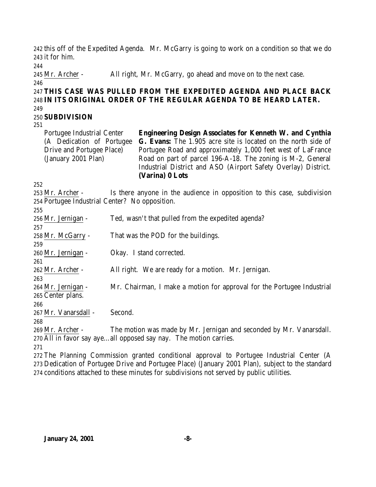this off of the Expedited Agenda. Mr. McGarry is going to work on a condition so that we do it for him.

Mr. Archer - All right, Mr. McGarry, go ahead and move on to the next case.

# **THIS CASE WAS PULLED FROM THE EXPEDITED AGENDA AND PLACE BACK IN ITS ORIGINAL ORDER OF THE REGULAR AGENDA TO BE HEARD LATER.**

## 

# **SUBDIVISION**

Portugee Industrial Center (A Dedication of Portugee Drive and Portugee Place) (January 2001 Plan) **Engineering Design Associates for Kenneth W. and Cynthia G. Evans:** The 1.905 acre site is located on the north side of Portugee Road and approximately 1,000 feet west of LaFrance Road on part of parcel 196-A-18. The zoning is M-2, General Industrial District and ASO (Airport Safety Overlay) District. **(Varina) 0 Lots**

 Mr. Archer - Is there anyone in the audience in opposition to this case, subdivision Portugee Industrial Center? No opposition.  $0.55$ 

| 255                  |                                                                        |
|----------------------|------------------------------------------------------------------------|
| 256 Mr. Jernigan -   | Ted, wasn't that pulled from the expedited agenda?                     |
| 257                  |                                                                        |
| 258 Mr. McGarry -    | That was the POD for the buildings.                                    |
| 259                  |                                                                        |
| 260 Mr. Jernigan -   | Okay. I stand corrected.                                               |
| 261                  |                                                                        |
| 262 Mr. Archer -     | All right. We are ready for a motion. Mr. Jernigan.                    |
| 263                  |                                                                        |
| 264 Mr. Jernigan -   | Mr. Chairman, I make a motion for approval for the Portugee Industrial |
| 265 Center plans.    |                                                                        |
| 266                  |                                                                        |
| 267 Mr. Vanarsdall - | Second.                                                                |
| 268                  |                                                                        |
| 269 Mr. Archer -     | The motion was made by Mr. Jernigan and seconded by Mr. Vanarsdall.    |

All in favor say aye…all opposed say nay. The motion carries.

 The Planning Commission granted conditional approval to Portugee Industrial Center (A Dedication of Portugee Drive and Portugee Place) (January 2001 Plan), subject to the standard conditions attached to these minutes for subdivisions not served by public utilities.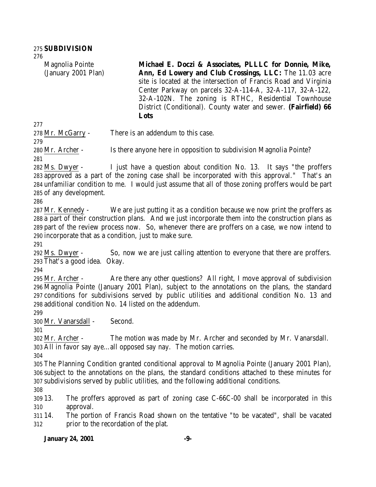Magnolia Pointe (January 2001 Plan) **Michael E. Doczi & Associates, PLLLC for Donnie, Mike, Ann, Ed Lowery and Club Crossings, LLC:** The 11.03 acre site is located at the intersection of Francis Road and Virginia Center Parkway on parcels 32-A-114-A, 32-A-117, 32-A-122, 32-A-102N. The zoning is RTHC, Residential Townhouse District (Conditional). County water and sewer. **(Fairfield) 66 Lots**

Mr. McGarry - There is an addendum to this case.

Mr. Archer - Is there anyone here in opposition to subdivision Magnolia Pointe?

 Ms. Dwyer - I just have a question about condition No. 13. It says "the proffers approved as a part of the zoning case shall be incorporated with this approval." That's an unfamiliar condition to me. I would just assume that all of those zoning proffers would be part of any development.

 Mr. Kennedy - We are just putting it as a condition because we now print the proffers as a part of their construction plans. And we just incorporate them into the construction plans as part of the review process now. So, whenever there are proffers on a case, we now intend to incorporate that as a condition, just to make sure.

 Ms. Dwyer - So, now we are just calling attention to everyone that there are proffers. That's a good idea. Okay.

 Mr. Archer - Are there any other questions? All right, I move approval of subdivision Magnolia Pointe (January 2001 Plan), subject to the annotations on the plans, the standard conditions for subdivisions served by public utilities and additional condition No. 13 and additional condition No. 14 listed on the addendum.

Mr. Vanarsdall - Second.

 Mr. Archer - The motion was made by Mr. Archer and seconded by Mr. Vanarsdall. All in favor say aye…all opposed say nay. The motion carries.

 The Planning Condition granted conditional approval to Magnolia Pointe (January 2001 Plan), subject to the annotations on the plans, the standard conditions attached to these minutes for subdivisions served by public utilities, and the following additional conditions.

 13. The proffers approved as part of zoning case C-66C-00 shall be incorporated in this approval.

 14. The portion of Francis Road shown on the tentative "to be vacated", shall be vacated prior to the recordation of the plat.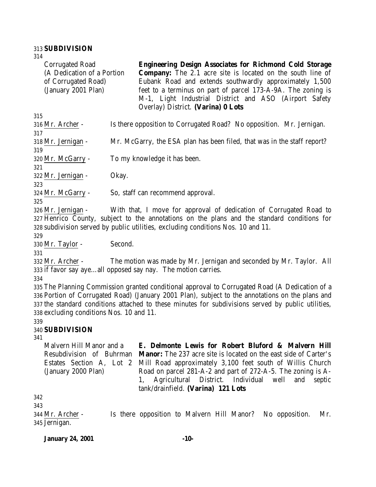## 313 **SUBDIVISION**

| 314                        |                                                                                                |
|----------------------------|------------------------------------------------------------------------------------------------|
| <b>Corrugated Road</b>     | <b>Engineering Design Associates for Richmond Cold Storage</b>                                 |
| (A Dedication of a Portion | <b>Company:</b> The 2.1 acre site is located on the south line of                              |
| of Corrugated Road)        | Eubank Road and extends southwardly approximately 1,500                                        |
| (January 2001 Plan)        | feet to a terminus on part of parcel 173-A-9A. The zoning is                                   |
|                            | M-1, Light Industrial District and ASO (Airport Safety                                         |
|                            | Overlay) District. (Varina) 0 Lots                                                             |
| 315                        |                                                                                                |
| 316 Mr. Archer -           | Is there opposition to Corrugated Road? No opposition. Mr. Jernigan.                           |
| 317                        |                                                                                                |
| 318 Mr. Jernigan -         | Mr. McGarry, the ESA plan has been filed, that was in the staff report?                        |
| 319                        |                                                                                                |
| 320 Mr. McGarry -          | To my knowledge it has been.                                                                   |
| 321                        |                                                                                                |
| 322 Mr. Jernigan -         | Okay.                                                                                          |
| 323                        |                                                                                                |
| 324 Mr. McGarry -          | So, staff can recommend approval.                                                              |
| 325                        |                                                                                                |
| 326 Mr. Jernigan -         | With that, I move for approval of dedication of Corrugated Road to                             |
|                            | 327 Henrico County, subject to the annotations on the plans and the standard conditions for    |
|                            | 328 subdivision served by public utilities, excluding conditions Nos. 10 and 11.               |
| 329                        |                                                                                                |
| 330 Mr. Taylor -           | Second.                                                                                        |
| 331                        |                                                                                                |
| 332 Mr. Archer -           | The motion was made by Mr. Jernigan and seconded by Mr. Taylor. All                            |
|                            | 333 if favor say ayeall opposed say nay. The motion carries.                                   |
| 334                        |                                                                                                |
|                            | 335 The Planning Commission granted conditional approval to Corrugated Road (A Dedication of a |

336 Portion of Corrugated Road) (January 2001 Plan), subject to the annotations on the plans and 337 the standard conditions attached to these minutes for subdivisions served by public utilities, 338 excluding conditions Nos. 10 and 11.

#### 339 340 **SUBDIVISION**

#### 341

Malvern Hill Manor and a Resubdivision of Buhrman **Manor:** The 237 acre site is located on the east side of Carter's Estates Section A, Lot 2 (January 2000 Plan) **E. Delmonte Lewis for Robert Bluford & Malvern Hill** Mill Road approximately 3,100 feet south of Willis Church Road on parcel 281-A-2 and part of 272-A-5. The zoning is A-1, Agricultural District. Individual well and septic tank/drainfield. **(Varina) 121 Lots**

342

343

344 Mr. Archer - Is there opposition to Malvern Hill Manor? No opposition. Mr. 345 Jernigan.

| <b>January 24, 2001</b> |  |  |
|-------------------------|--|--|
|                         |  |  |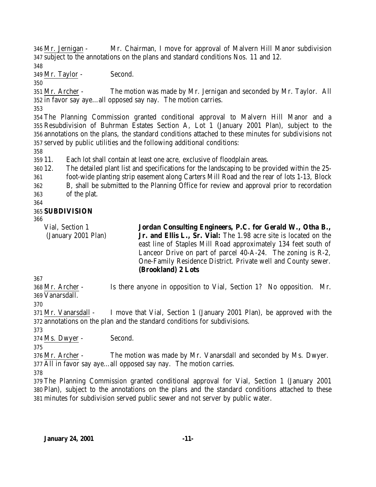Mr. Jernigan - Mr. Chairman, I move for approval of Malvern Hill Manor subdivision subject to the annotations on the plans and standard conditions Nos. 11 and 12.

Mr. Taylor - Second.

 Mr. Archer - The motion was made by Mr. Jernigan and seconded by Mr. Taylor. All in favor say aye…all opposed say nay. The motion carries.

 The Planning Commission granted conditional approval to Malvern Hill Manor and a Resubdivision of Buhrman Estates Section A, Lot 1 (January 2001 Plan), subject to the annotations on the plans, the standard conditions attached to these minutes for subdivisions not served by public utilities and the following additional conditions:

11. Each lot shall contain at least one acre, exclusive of floodplain areas.

12. The detailed plant list and specifications for the landscaping to be provided within the 25-

foot-wide planting strip easement along Carters Mill Road and the rear of lots 1-13, Block

B, shall be submitted to the Planning Office for review and approval prior to recordation

of the plat.

#### **SUBDIVISION**

Vial, Section 1 (January 2001 Plan) **Jordan Consulting Engineers, P.C. for Gerald W., Otha B., Jr. and Ellis L., Sr. Vial:** The 1.98 acre site is located on the east line of Staples Mill Road approximately 134 feet south of Lanceor Drive on part of parcel 40-A-24. The zoning is R-2, One-Family Residence District. Private well and County sewer. **(Brookland) 2 Lots**

 Mr. Archer - Is there anyone in opposition to Vial, Section 1? No opposition. Mr. Vanarsdall.

 Mr. Vanarsdall - I move that Vial, Section 1 (January 2001 Plan), be approved with the annotations on the plan and the standard conditions for subdivisions.

Ms. Dwyer - Second.

 Mr. Archer - The motion was made by Mr. Vanarsdall and seconded by Ms. Dwyer. All in favor say aye…all opposed say nay. The motion carries.

 The Planning Commission granted conditional approval for Vial, Section 1 (January 2001 Plan), subject to the annotations on the plans and the standard conditions attached to these minutes for subdivision served public sewer and not server by public water.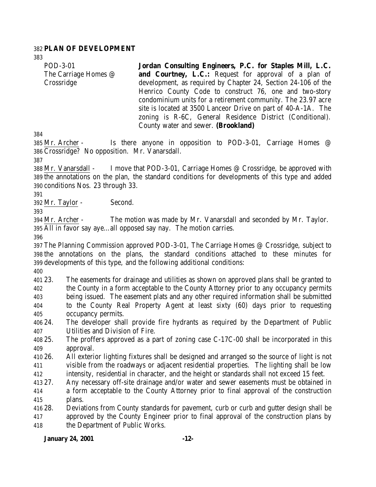## **PLAN OF DEVELOPMENT**

POD-3-01 The Carriage Homes @ Crossridge **Jordan Consulting Engineers, P.C. for Staples Mill, L.C. and Courtney, L.C.:** Request for approval of a plan of development, as required by Chapter 24, Section 24-106 of the Henrico County Code to construct 76, one and two-story condominium units for a retirement community. The 23.97 acre site is located at 3500 Lanceor Drive on part of 40-A-1A. The zoning is R-6C, General Residence District (Conditional). County water and sewer. **(Brookland)**

385 Mr. Archer - Is there anyone in opposition to POD-3-01, Carriage Homes @ Crossridge? No opposition. Mr. Vanarsdall.

 Mr. Vanarsdall - I move that POD-3-01, Carriage Homes @ Crossridge, be approved with the annotations on the plan, the standard conditions for developments of this type and added conditions Nos. 23 through 33.

Mr. Taylor - Second.

 Mr. Archer - The motion was made by Mr. Vanarsdall and seconded by Mr. Taylor. All in favor say aye…all opposed say nay. The motion carries.

 The Planning Commission approved POD-3-01, The Carriage Homes @ Crossridge, subject to the annotations on the plans, the standard conditions attached to these minutes for developments of this type, and the following additional conditions:

 23. The easements for drainage and utilities as shown on approved plans shall be granted to the County in a form acceptable to the County Attorney prior to any occupancy permits being issued. The easement plats and any other required information shall be submitted to the County Real Property Agent at least sixty (60) days prior to requesting occupancy permits.

 24. The developer shall provide fire hydrants as required by the Department of Public Utilities and Division of Fire.

- 25. The proffers approved as a part of zoning case C-17C-00 shall be incorporated in this approval.
- 26. All exterior lighting fixtures shall be designed and arranged so the source of light is not visible from the roadways or adjacent residential properties. The lighting shall be low intensity, residential in character, and the height or standards shall not exceed 15 feet.

27. Any necessary off-site drainage and/or water and sewer easements must be obtained in

 a form acceptable to the County Attorney prior to final approval of the construction plans.

 28. Deviations from County standards for pavement, curb or curb and gutter design shall be approved by the County Engineer prior to final approval of the construction plans by the Department of Public Works.

## **January 24, 2001 -12-**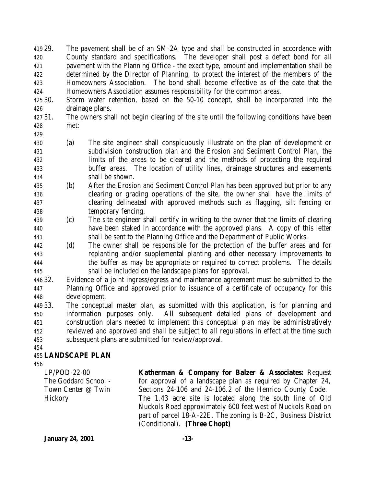29. The pavement shall be of an SM-2A type and shall be constructed in accordance with County standard and specifications. The developer shall post a defect bond for all pavement with the Planning Office - the exact type, amount and implementation shall be determined by the Director of Planning, to protect the interest of the members of the Homeowners Association. The bond shall become effective as of the date that the Homeowners Association assumes responsibility for the common areas.

- 30. Storm water retention, based on the 50-10 concept, shall be incorporated into the drainage plans.
- 31. The owners shall not begin clearing of the site until the following conditions have been met:
- 
- (a) The site engineer shall conspicuously illustrate on the plan of development or subdivision construction plan and the Erosion and Sediment Control Plan, the limits of the areas to be cleared and the methods of protecting the required buffer areas. The location of utility lines, drainage structures and easements shall be shown.
- (b) After the Erosion and Sediment Control Plan has been approved but prior to any clearing or grading operations of the site, the owner shall have the limits of clearing delineated with approved methods such as flagging, silt fencing or temporary fencing.
- (c) The site engineer shall certify in writing to the owner that the limits of clearing have been staked in accordance with the approved plans. A copy of this letter shall be sent to the Planning Office and the Department of Public Works.
- (d) The owner shall be responsible for the protection of the buffer areas and for replanting and/or supplemental planting and other necessary improvements to the buffer as may be appropriate or required to correct problems. The details shall be included on the landscape plans for approval.
- 32. Evidence of a joint ingress/egress and maintenance agreement must be submitted to the Planning Office and approved prior to issuance of a certificate of occupancy for this development.
- 33. The conceptual master plan, as submitted with this application, is for planning and information purposes only. All subsequent detailed plans of development and construction plans needed to implement this conceptual plan may be administratively reviewed and approved and shall be subject to all regulations in effect at the time such subsequent plans are submitted for review/approval.
- 

# **LANDSCAPE PLAN**

LP/POD-22-00 The Goddard School - Town Center @ Twin **Hickory** 

**Katherman & Company for Balzer & Associates:** Request for approval of a landscape plan as required by Chapter 24, Sections 24-106 and 24-106.2 of the Henrico County Code. The 1.43 acre site is located along the south line of Old Nuckols Road approximately 600 feet west of Nuckols Road on part of parcel 18-A-22E. The zoning is B-2C, Business District (Conditional). **(Three Chopt)** 

**January 24, 2001 -13-**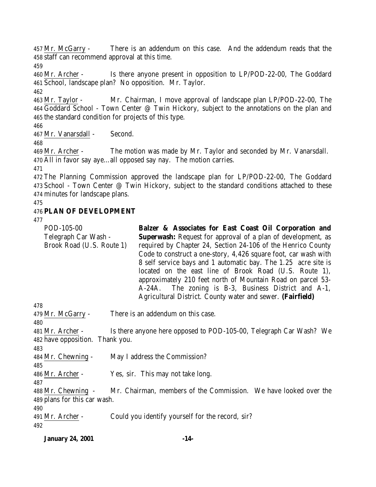Mr. McGarry - There is an addendum on this case. And the addendum reads that the staff can recommend approval at this time.

 Mr. Archer - Is there anyone present in opposition to LP/POD-22-00, The Goddard School, landscape plan? No opposition. Mr. Taylor.

 Mr. Taylor - Mr. Chairman, I move approval of landscape plan LP/POD-22-00, The Goddard School - Town Center @ Twin Hickory, subject to the annotations on the plan and the standard condition for projects of this type.

Mr. Vanarsdall - Second.

 Mr. Archer - The motion was made by Mr. Taylor and seconded by Mr. Vanarsdall. All in favor say aye…all opposed say nay. The motion carries.

 The Planning Commission approved the landscape plan for LP/POD-22-00, The Goddard 473 School - Town Center @ Twin Hickory, subject to the standard conditions attached to these minutes for landscape plans.

# **PLAN OF DEVELOPMENT**

| POD-105-00<br>Telegraph Car Wash -<br>Brook Road (U.S. Route 1) | Balzer & Associates for East Coast Oil Corporation and<br><b>Superwash:</b> Request for approval of a plan of development, as<br>required by Chapter 24, Section 24-106 of the Henrico County<br>Code to construct a one-story, 4,426 square foot, car wash with<br>8 self service bays and 1 automatic bay. The 1.25 acre site is<br>located on the east line of Brook Road (U.S. Route 1),<br>approximately 210 feet north of Mountain Road on parcel 53- |
|-----------------------------------------------------------------|-------------------------------------------------------------------------------------------------------------------------------------------------------------------------------------------------------------------------------------------------------------------------------------------------------------------------------------------------------------------------------------------------------------------------------------------------------------|
|                                                                 | A-24A. The zoning is B-3, Business District and A-1,<br>Agricultural District. County water and sewer. (Fairfield)                                                                                                                                                                                                                                                                                                                                          |
| 478                                                             |                                                                                                                                                                                                                                                                                                                                                                                                                                                             |
| 479 Mr. McGarry -<br>480                                        | There is an addendum on this case.                                                                                                                                                                                                                                                                                                                                                                                                                          |
| 481 Mr. Archer -<br>482 have opposition. Thank you.             | Is there anyone here opposed to POD-105-00, Telegraph Car Wash? We                                                                                                                                                                                                                                                                                                                                                                                          |
| 483                                                             |                                                                                                                                                                                                                                                                                                                                                                                                                                                             |
| 484 Mr. Chewning -                                              | May I address the Commission?                                                                                                                                                                                                                                                                                                                                                                                                                               |
| 485<br>486 Mr. Archer -                                         | Yes, sir. This may not take long.                                                                                                                                                                                                                                                                                                                                                                                                                           |
| 487<br>488 Mr. Chewning -<br>489 plans for this car wash.       | Mr. Chairman, members of the Commission. We have looked over the                                                                                                                                                                                                                                                                                                                                                                                            |

| 491 Mr. Archer - | Could you identify yourself for the record, sir? |
|------------------|--------------------------------------------------|
| 492              |                                                  |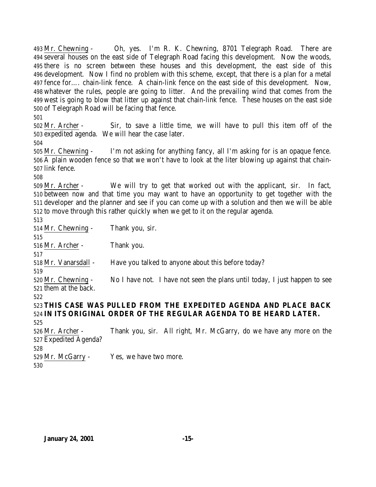Mr. Chewning - Oh, yes. I'm R. K. Chewning, 8701 Telegraph Road. There are several houses on the east side of Telegraph Road facing this development. Now the woods, there is no screen between these houses and this development, the east side of this development. Now I find no problem with this scheme, except, that there is a plan for a metal fence for…. chain-link fence. A chain-link fence on the east side of this development. Now, whatever the rules, people are going to litter. And the prevailing wind that comes from the west is going to blow that litter up against that chain-link fence. These houses on the east side of Telegraph Road will be facing that fence. 

 Mr. Archer - Sir, to save a little time, we will have to pull this item off of the expedited agenda. We will hear the case later.

 Mr. Chewning - I'm not asking for anything fancy, all I'm asking for is an opaque fence. A plain wooden fence so that we won't have to look at the liter blowing up against that chain-link fence.

 Mr. Archer - We will try to get that worked out with the applicant, sir. In fact, between now and that time you may want to have an opportunity to get together with the developer and the planner and see if you can come up with a solution and then we will be able to move through this rather quickly when we get to it on the regular agenda.

 Mr. Chewning - Thank you, sir. Mr. Archer - Thank you. Mr. Vanarsdall - Have you talked to anyone about this before today? Mr. Chewning - No I have not. I have not seen the plans until today, I just happen to see them at the back. **THIS CASE WAS PULLED FROM THE EXPEDITED AGENDA AND PLACE BACK IN ITS ORIGINAL ORDER OF THE REGULAR AGENDA TO BE HEARD LATER.** Mr. Archer - Thank you, sir. All right, Mr. McGarry, do we have any more on the Expedited Agenda? 

Mr. McGarry - Yes, we have two more.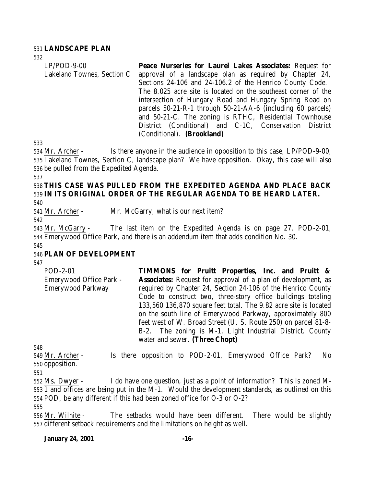## 531 **LANDSCAPE PLAN**

532

| $LP/POD-9-00$              | Peace Nurseries for Laurel Lakes Associates: Request for      |
|----------------------------|---------------------------------------------------------------|
| Lakeland Townes, Section C | approval of a landscape plan as required by Chapter 24,       |
|                            | Sections 24-106 and 24-106.2 of the Henrico County Code.      |
|                            | The 8.025 acre site is located on the southeast corner of the |
|                            | intersection of Hungary Road and Hungary Spring Road on       |
|                            | parcels 50-21-R-1 through 50-21-AA-6 (including 60 parcels)   |
|                            | and 50-21-C. The zoning is RTHC, Residential Townhouse        |
|                            | District (Conditional) and C-1C, Conservation District        |
|                            | (Conditional). (Brookland)                                    |

533

534 Mr. Archer - Is there anyone in the audience in opposition to this case, LP/POD-9-00, 535 Lakeland Townes, Section C, landscape plan? We have opposition. Okay, this case will also 536 be pulled from the Expedited Agenda.

#### 537

# 538 **THIS CASE WAS PULLED FROM THE EXPEDITED AGENDA AND PLACE BACK** 539 **IN ITS ORIGINAL ORDER OF THE REGULAR AGENDA TO BE HEARD LATER.**

540

541 Mr. Archer - Mr. McGarry, what is our next item?

542

543 Mr. McGarry - The last item on the Expedited Agenda is on page 27, POD-2-01, 544 Emerywood Office Park, and there is an addendum item that adds condition No. 30.

545

# 546 **PLAN OF DEVELOPMENT**

547

POD-2-01 Emerywood Office Park - Emerywood Parkway **TIMMONS for Pruitt Properties, Inc. and Pruitt & Associates:** Request for approval of a plan of development, as required by Chapter 24, Section 24-106 of the Henrico County Code to construct two, three-story office buildings totaling 133,560 136,870 square feet total. The 9.82 acre site is located on the south line of Emerywood Parkway, approximately 800 feet west of W. Broad Street (U. S. Route 250) on parcel 81-8- B-2. The zoning is M-1, Light Industrial District. County water and sewer. **(Three Chopt)**

548

549 Mr. Archer - Is there opposition to POD-2-01, Emerywood Office Park? No 550 opposition.

551

552 Ms. Dwyer - I do have one question, just as a point of information? This is zoned M-553 1 and offices are being put in the M-1. Would the development standards, as outlined on this 554 POD, be any different if this had been zoned office for O-3 or O-2?

555

556 Mr. Wilhite - The setbacks would have been different. There would be slightly 557 different setback requirements and the limitations on height as well.

#### **January 24, 2001 -16-**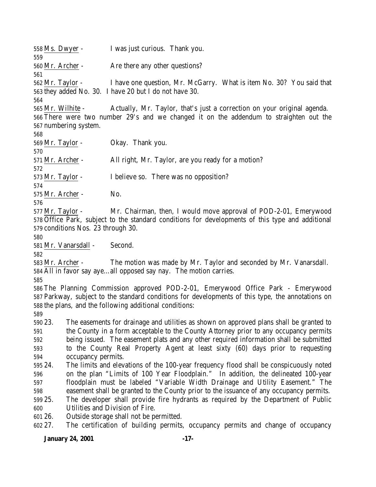Ms. Dwyer - I was just curious. Thank you. Mr. Archer - Are there any other questions? Mr. Taylor - I have one question, Mr. McGarry. What is item No. 30? You said that they added No. 30. I have 20 but I do not have 30. Mr. Wilhite - Actually, Mr. Taylor, that's just a correction on your original agenda. There were two number 29's and we changed it on the addendum to straighten out the numbering system. Mr. Taylor - Okay. Thank you. Mr. Archer - All right, Mr. Taylor, are you ready for a motion? Mr. Taylor - I believe so. There was no opposition? Mr. Archer - No. Mr. Taylor - Mr. Chairman, then, I would move approval of POD-2-01, Emerywood Office Park, subject to the standard conditions for developments of this type and additional conditions Nos. 23 through 30. Mr. Vanarsdall - Second. Mr. Archer - The motion was made by Mr. Taylor and seconded by Mr. Vanarsdall. All in favor say aye…all opposed say nay. The motion carries. The Planning Commission approved POD-2-01, Emerywood Office Park - Emerywood Parkway, subject to the standard conditions for developments of this type, the annotations on the plans, and the following additional conditions: 23. The easements for drainage and utilities as shown on approved plans shall be granted to the County in a form acceptable to the County Attorney prior to any occupancy permits being issued. The easement plats and any other required information shall be submitted to the County Real Property Agent at least sixty (60) days prior to requesting occupancy permits. 24. The limits and elevations of the 100-year frequency flood shall be conspicuously noted on the plan "Limits of 100 Year Floodplain." In addition, the delineated 100-year floodplain must be labeled "Variable Width Drainage and Utility Easement." The easement shall be granted to the County prior to the issuance of any occupancy permits. 25. The developer shall provide fire hydrants as required by the Department of Public Utilities and Division of Fire. 26. Outside storage shall not be permitted. 27. The certification of building permits, occupancy permits and change of occupancy

#### **January 24, 2001 -17-**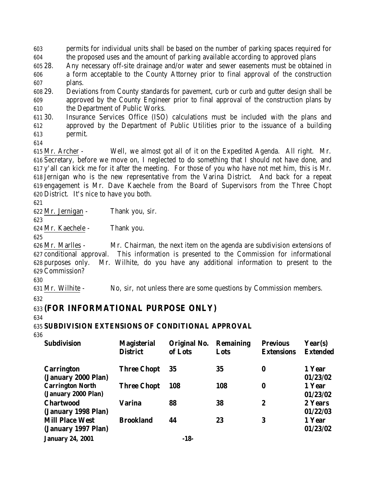603 permits for individual units shall be based on the number of parking spaces required for 604 the proposed uses and the amount of parking available according to approved plans

605 28. Any necessary off-site drainage and/or water and sewer easements must be obtained in 606 a form acceptable to the County Attorney prior to final approval of the construction 607 plans.

608 29. Deviations from County standards for pavement, curb or curb and gutter design shall be 609 approved by the County Engineer prior to final approval of the construction plans by 610 the Department of Public Works.

611 30. Insurance Services Office (ISO) calculations must be included with the plans and 612 approved by the Department of Public Utilities prior to the issuance of a building 613 permit.

614

 Mr. Archer - Well, we almost got all of it on the Expedited Agenda. All right. Mr. Secretary, before we move on, I neglected to do something that I should not have done, and y'all can kick me for it after the meeting. For those of you who have not met him, this is Mr. Jernigan who is the new representative from the Varina District. And back for a repeat engagement is Mr. Dave Kaechele from the Board of Supervisors from the Three Chopt District. It's nice to have you both.

621

622 Mr. Jernigan - Thank you, sir.

623

624 Mr. Kaechele - Thank you.

625

 Mr. Marlles - Mr. Chairman, the next item on the agenda are subdivision extensions of conditional approval. This information is presented to the Commission for informational purposes only. Mr. Wilhite, do you have any additional information to present to the Commission?

630

631 Mr. Wilhite - No, sir, not unless there are some questions by Commission members.

632

# 633 **(FOR INFORMATIONAL PURPOSE ONLY)**

634

635 **SUBDIVISION EXTENSIONS OF CONDITIONAL APPROVAL**

636

| <b>Subdivision</b>                             | <b>Magisterial</b><br><b>District</b> | Original No.<br>of Lots | <b>Remaining</b><br>Lots | <b>Previous</b><br><b>Extensions</b> | Year(s)<br><b>Extended</b> |
|------------------------------------------------|---------------------------------------|-------------------------|--------------------------|--------------------------------------|----------------------------|
| <b>Carrington</b><br>(January 2000 Plan)       | <b>Three Chopt</b>                    | 35                      | 35                       | $\bf{0}$                             | 1 Year<br>01/23/02         |
| <b>Carrington North</b><br>(January 2000 Plan) | <b>Three Chopt</b>                    | 108                     | 108                      | $\bf{0}$                             | 1 Year<br>01/23/02         |
| <b>Chartwood</b><br>(January 1998 Plan)        | Varina                                | 88                      | 38                       | $\boldsymbol{2}$                     | 2 Years<br>01/22/03        |
| <b>Mill Place West</b><br>(January 1997 Plan)  | <b>Brookland</b>                      | 44                      | 23                       | 3                                    | 1 Year<br>01/23/02         |
| <b>January 24, 2001</b>                        |                                       | $-18-$                  |                          |                                      |                            |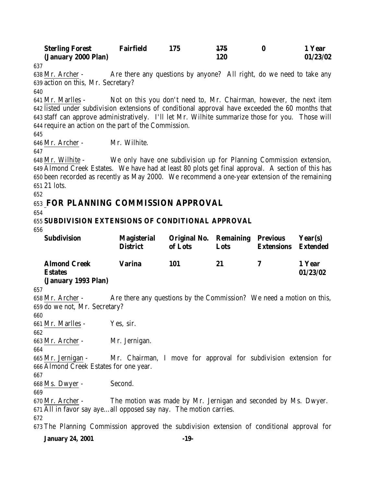| <b>Sterling Forest</b> | <b>Fairfield</b> | 175 | 1 Year   |
|------------------------|------------------|-----|----------|
| (January 2000 Plan)    |                  | L20 | 01/23/02 |

 Mr. Archer - Are there any questions by anyone? All right, do we need to take any action on this, Mr. Secretary?

 Mr. Marlles - Not on this you don't need to, Mr. Chairman, however, the next item listed under subdivision extensions of conditional approval have exceeded the 60 months that staff can approve administratively. I'll let Mr. Wilhite summarize those for you. Those will require an action on the part of the Commission.

Mr. Archer - Mr. Wilhite.

 Mr. Wilhite - We only have one subdivision up for Planning Commission extension, Almond Creek Estates. We have had at least 80 plots get final approval. A section of this has been recorded as recently as May 2000. We recommend a one-year extension of the remaining 21 lots.

# **FOR PLANNING COMMISSION APPROVAL**

# **SUBDIVISION EXTENSIONS OF CONDITIONAL APPROVAL**

| vvv                                                                                        |                                                                      |                                                   |      |                   |                            |
|--------------------------------------------------------------------------------------------|----------------------------------------------------------------------|---------------------------------------------------|------|-------------------|----------------------------|
| Subdivision                                                                                | Magisterial<br><b>District</b>                                       | <b>Original No. Remaining Previous</b><br>of Lots | Lots | <b>Extensions</b> | Year(s)<br><b>Extended</b> |
| <b>Almond Creek</b><br><b>Estates</b>                                                      | <b>Varina</b>                                                        | 101                                               | 21   | 7                 | 1 Year<br>01/23/02         |
| (January 1993 Plan)                                                                        |                                                                      |                                                   |      |                   |                            |
| 657                                                                                        |                                                                      |                                                   |      |                   |                            |
| 658 Mr. Archer -                                                                           | Are there any questions by the Commission? We need a motion on this, |                                                   |      |                   |                            |
| 659 do we not, Mr. Secretary?                                                              |                                                                      |                                                   |      |                   |                            |
| 660                                                                                        |                                                                      |                                                   |      |                   |                            |
| 661 Mr. Marlles -                                                                          | Yes, sir.                                                            |                                                   |      |                   |                            |
| 662                                                                                        |                                                                      |                                                   |      |                   |                            |
| 663 Mr. Archer -                                                                           | Mr. Jernigan.                                                        |                                                   |      |                   |                            |
| 664                                                                                        |                                                                      |                                                   |      |                   |                            |
| 665 Mr. Jernigan -                                                                         | Mr. Chairman, I move for approval for subdivision extension for      |                                                   |      |                   |                            |
| 666 Almond Creek Estates for one year.                                                     |                                                                      |                                                   |      |                   |                            |
| 667                                                                                        |                                                                      |                                                   |      |                   |                            |
| 668 Ms. Dwyer -                                                                            | Second.                                                              |                                                   |      |                   |                            |
| 669                                                                                        |                                                                      |                                                   |      |                   |                            |
| $670$ Mr. Archer -                                                                         | The motion was made by Mr. Jernigan and seconded by Ms. Dwyer.       |                                                   |      |                   |                            |
| 671 All in favor say ayeall opposed say nay. The motion carries.                           |                                                                      |                                                   |      |                   |                            |
| 672                                                                                        |                                                                      |                                                   |      |                   |                            |
| 673 The Planning Commission approved the subdivision extension of conditional approval for |                                                                      |                                                   |      |                   |                            |
| <b>January 24, 2001</b>                                                                    |                                                                      | $-19-$                                            |      |                   |                            |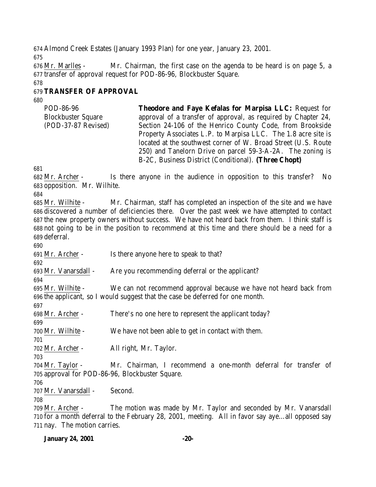Almond Creek Estates (January 1993 Plan) for one year, January 23, 2001.

 Mr. Marlles - Mr. Chairman, the first case on the agenda to be heard is on page 5, a transfer of approval request for POD-86-96, Blockbuster Square.

# **TRANSFER OF APPROVAL**

POD-86-96 Blockbuster Square (POD-37-87 Revised) **Theodore and Faye Kefalas for Marpisa LLC:** Request for approval of a transfer of approval, as required by Chapter 24, Section 24-106 of the Henrico County Code, from Brookside Property Associates L.P. to Marpisa LLC. The 1.8 acre site is located at the southwest corner of W. Broad Street (U.S. Route 250) and Tanelorn Drive on parcel 59-3-A-2A. The zoning is B-2C, Business District (Conditional). **(Three Chopt)**

 Mr. Archer - Is there anyone in the audience in opposition to this transfer? No opposition. Mr. Wilhite.

 Mr. Wilhite - Mr. Chairman, staff has completed an inspection of the site and we have discovered a number of deficiencies there. Over the past week we have attempted to contact the new property owners without success. We have not heard back from them. I think staff is not going to be in the position to recommend at this time and there should be a need for a deferral.

Mr. Archer - Is there anyone here to speak to that?

 Mr. Vanarsdall - Are you recommending deferral or the applicant?

 Mr. Wilhite - We can not recommend approval because we have not heard back from the applicant, so I would suggest that the case be deferred for one month.

Mr. Archer - There's no one here to represent the applicant today?

Mr. Wilhite - We have not been able to get in contact with them.

 Mr. Archer - All right, Mr. Taylor.

 Mr. Taylor - Mr. Chairman, I recommend a one-month deferral for transfer of approval for POD-86-96, Blockbuster Square.

Mr. Vanarsdall - Second.

 Mr. Archer - The motion was made by Mr. Taylor and seconded by Mr. Vanarsdall for a month deferral to the February 28, 2001, meeting. All in favor say aye…all opposed say nay. The motion carries.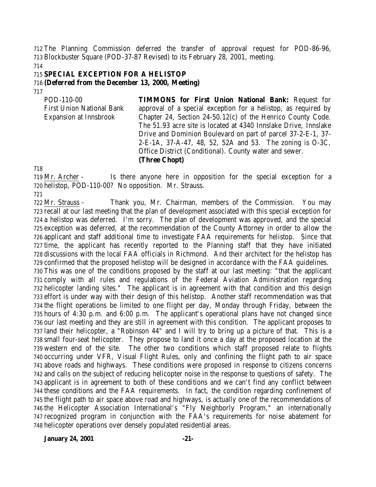The Planning Commission deferred the transfer of approval request for POD-86-96, Blockbuster Square (POD-37-87 Revised) to its February 28, 2001, meeting.

## **SPECIAL EXCEPTION FOR A HELISTOP**

## **(Deferred from the December 13, 2000, Meeting)**

| POD-110-00                       | <b>TIMMONS for First Union National Bank: Request for</b>       |
|----------------------------------|-----------------------------------------------------------------|
| <b>First Union National Bank</b> | approval of a special exception for a helistop, as required by  |
| Expansion at Innsbrook           | Chapter 24, Section 24-50.12(c) of the Henrico County Code.     |
|                                  | The 51.93 acre site is located at 4340 Innslake Drive, Innslake |
|                                  | Drive and Dominion Boulevard on part of parcel 37-2-E-1, 37-    |
|                                  | 2-E-1A, 37-A-47, 48, 52, 52A and 53. The zoning is O-3C,        |
|                                  | Office District (Conditional). County water and sewer.          |
|                                  | $\sim$                                                          |

## **(Three Chopt)**

 Mr. Archer - Is there anyone here in opposition for the special exception for a helistop, POD-110-00? No opposition. Mr. Strauss.

 Mr. Strauss - Thank you, Mr. Chairman, members of the Commission. You may recall at our last meeting that the plan of development associated with this special exception for a helistop was deferred. I'm sorry. The plan of development was approved, and the special exception was deferred, at the recommendation of the County Attorney in order to allow the applicant and staff additional time to investigate FAA requirements for helistop. Since that time, the applicant has recently reported to the Planning staff that they have initiated discussions with the local FAA officials in Richmond. And their architect for the helistop has confirmed that the proposed helistop will be designed in accordance with the FAA guidelines. This was one of the conditions proposed by the staff at our last meeting: "that the applicant comply with all rules and regulations of the Federal Aviation Administration regarding helicopter landing sites." The applicant is in agreement with that condition and this design effort is under way with their design of this helistop. Another staff recommendation was that the flight operations be limited to one flight per day, Monday through Friday, between the hours of 4:30 p.m. and 6:00 p.m. The applicant's operational plans have not changed since our last meeting and they are still in agreement with this condition. The applicant proposes to land their helicopter, a "Robinson 44" and I will try to bring up a picture of that. This is a small four-seat helicopter. They propose to land it once a day at the proposed location at the western end of the site. The other two conditions which staff proposed relate to flights occurring under VFR, Visual Flight Rules, only and confining the flight path to air space above roads and highways. These conditions were proposed in response to citizens concerns and calls on the subject of reducing helicopter noise in the response to questions of safety. The applicant is in agreement to both of these conditions and we can't find any conflict between these conditions and the FAA requirements. In fact, the condition regarding confinement of the flight path to air space above road and highways, is actually one of the recommendations of the Helicopter Association International's "Fly Neighborly Program," an internationally recognized program in conjunction with the FAA's requirements for noise abatement for helicopter operations over densely populated residential areas.

**January 24, 2001 -21-**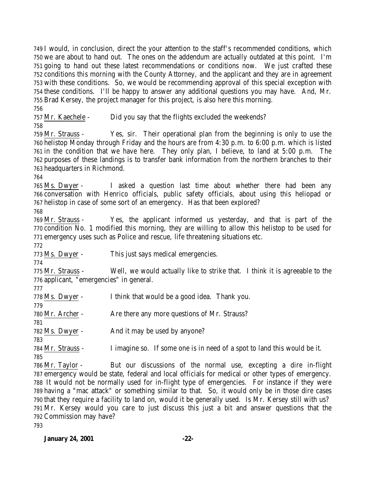I would, in conclusion, direct the your attention to the staff's recommended conditions, which we are about to hand out. The ones on the addendum are actually outdated at this point. I'm going to hand out these latest recommendations or conditions now. We just crafted these conditions this morning with the County Attorney, and the applicant and they are in agreement with these conditions. So, we would be recommending approval of this special exception with these conditions. I'll be happy to answer any additional questions you may have. And, Mr. Brad Kersey, the project manager for this project, is also here this morning. 

Mr. Kaechele - Did you say that the flights excluded the weekends?

 Mr. Strauss - Yes, sir. Their operational plan from the beginning is only to use the helistop Monday through Friday and the hours are from 4:30 p.m. to 6:00 p.m. which is listed in the condition that we have here. They only plan, I believe, to land at 5:00 p.m. The purposes of these landings is to transfer bank information from the northern branches to their headquarters in Richmond.

 Ms. Dwyer - I asked a question last time about whether there had been any conversation with Henrico officials, public safety officials, about using this heliopad or helistop in case of some sort of an emergency. Has that been explored?

 Mr. Strauss - Yes, the applicant informed us yesterday, and that is part of the condition No. 1 modified this morning, they are willing to allow this helistop to be used for emergency uses such as Police and rescue, life threatening situations etc.

Ms. Dwyer - This just says medical emergencies.

 Mr. Strauss - Well, we would actually like to strike that. I think it is agreeable to the applicant, "emergencies" in general.

| .                 |                                                                          |
|-------------------|--------------------------------------------------------------------------|
| 778 Ms. Dwyer -   | I think that would be a good idea. Thank you.                            |
| 779               |                                                                          |
| 780 Mr. Archer -  | Are there any more questions of Mr. Strauss?                             |
| 781               |                                                                          |
| 782 Ms. Dwyer -   | And it may be used by anyone?                                            |
| 783               |                                                                          |
| 784 Mr. Strauss - | I imagine so. If some one is in need of a spot to land this would be it. |
|                   |                                                                          |

 Mr. Taylor - But our discussions of the normal use, excepting a dire in-flight emergency would be state, federal and local officials for medical or other types of emergency. It would not be normally used for in-flight type of emergencies. For instance if they were having a "mac attack" or something similar to that. So, it would only be in those dire cases that they require a facility to land on, would it be generally used. Is Mr. Kersey still with us? Mr. Kersey would you care to just discuss this just a bit and answer questions that the Commission may have?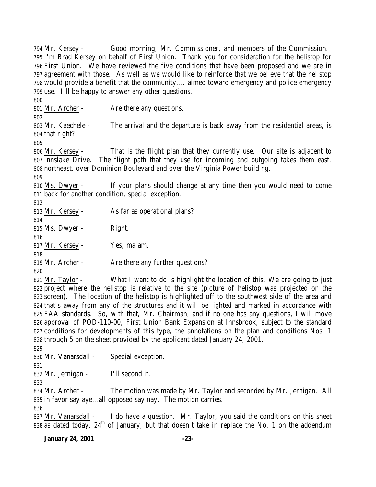Mr. Kersey - Good morning, Mr. Commissioner, and members of the Commission. I'm Brad Kersey on behalf of First Union. Thank you for consideration for the helistop for First Union. We have reviewed the five conditions that have been proposed and we are in agreement with those. As well as we would like to reinforce that we believe that the helistop would provide a benefit that the community…. aimed toward emergency and police emergency use. I'll be happy to answer any other questions. 801 Mr. Archer - Are there any questions. Mr. Kaechele - The arrival and the departure is back away from the residential areas, is that right? Mr. Kersey - That is the flight plan that they currently use. Our site is adjacent to Innslake Drive. The flight path that they use for incoming and outgoing takes them east, northeast, over Dominion Boulevard and over the Virginia Power building. Ms. Dwyer - If your plans should change at any time then you would need to come back for another condition, special exception. Mr. Kersey - As far as operational plans? 815 Ms. Dwyer - Right. Mr. Kersey - Yes, ma'am. Mr. Archer - Are there any further questions? Mr. Taylor - What I want to do is highlight the location of this. We are going to just

 project where the helistop is relative to the site (picture of helistop was projected on the screen). The location of the helistop is highlighted off to the southwest side of the area and that's away from any of the structures and it will be lighted and marked in accordance with FAA standards. So, with that, Mr. Chairman, and if no one has any questions, I will move approval of POD-110-00, First Union Bank Expansion at Innsbrook, subject to the standard 827 conditions for developments of this type, the annotations on the plan and conditions Nos. 1 through 5 on the sheet provided by the applicant dated January 24, 2001.

Mr. Vanarsdall - Special exception.

Mr. Jernigan - I'll second it.

 Mr. Archer - The motion was made by Mr. Taylor and seconded by Mr. Jernigan. All in favor say aye…all opposed say nay. The motion carries.

 Mr. Vanarsdall - I do have a question. Mr. Taylor, you said the conditions on this sheet 838 as dated today,  $24<sup>th</sup>$  of January, but that doesn't take in replace the No. 1 on the addendum

# **January 24, 2001 -23-**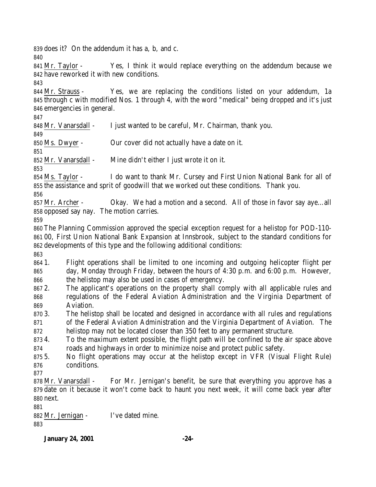does it? On the addendum it has a, b, and c.

 Mr. Taylor - Yes, I think it would replace everything on the addendum because we have reworked it with new conditions.

 Mr. Strauss - Yes, we are replacing the conditions listed on your addendum, 1a through c with modified Nos. 1 through 4, with the word "medical" being dropped and it's just emergencies in general.

848 Mr. Vanarsdall - I just wanted to be careful, Mr. Chairman, thank you.

Ms. Dwyer - Our cover did not actually have a date on it.

Mr. Vanarsdall - Mine didn't either I just wrote it on it.

 Ms. Taylor - I do want to thank Mr. Cursey and First Union National Bank for all of the assistance and sprit of goodwill that we worked out these conditions. Thank you.

 Mr. Archer - Okay. We had a motion and a second. All of those in favor say aye…all opposed say nay. The motion carries.

 The Planning Commission approved the special exception request for a helistop for POD-110- 00, First Union National Bank Expansion at Innsbrook, subject to the standard conditions for developments of this type and the following additional conditions:

 1. Flight operations shall be limited to one incoming and outgoing helicopter flight per day, Monday through Friday, between the hours of 4:30 p.m. and 6:00 p.m. However, the helistop may also be used in cases of emergency.

 2. The applicant's operations on the property shall comply with all applicable rules and regulations of the Federal Aviation Administration and the Virginia Department of Aviation.

 3. The helistop shall be located and designed in accordance with all rules and regulations of the Federal Aviation Administration and the Virginia Department of Aviation. The

helistop may not be located closer than 350 feet to any permanent structure.

 4. To the maximum extent possible, the flight path will be confined to the air space above roads and highways in order to minimize noise and protect public safety.

 5. No flight operations may occur at the helistop except in VFR (Visual Flight Rule) conditions.

 Mr. Vanarsdall - For Mr. Jernigan's benefit, be sure that everything you approve has a date on it because it won't come back to haunt you next week, it will come back year after next.

 Mr. Jernigan - I've dated mine. 

**January 24, 2001 -24-**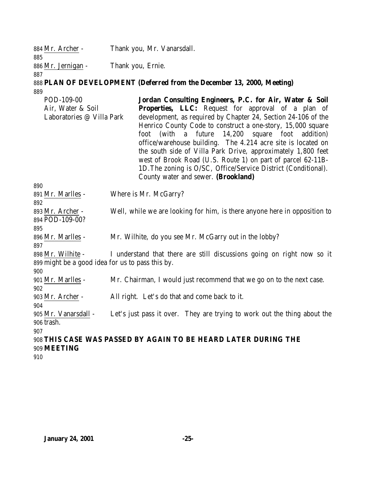| 884 Mr. Archer -   | Thank you, Mr. Vanarsdall. |
|--------------------|----------------------------|
| 885                |                            |
| 886 Mr. Jernigan - | Thank you, Ernie.          |
| 887                |                            |

# **PLAN OF DEVELOPMENT (Deferred from the December 13, 2000, Meeting)**

POD-109-00 Air, Water & Soil Laboratories @ Villa Park **Jordan Consulting Engineers, P.C. for Air, Water & Soil** Properties, LLC: Request for approval of a plan of development, as required by Chapter 24, Section 24-106 of the Henrico County Code to construct a one-story, 15,000 square foot (with a future 14,200 square foot addition) office/warehouse building. The 4.214 acre site is located on the south side of Villa Park Drive, approximately 1,800 feet west of Brook Road (U.S. Route 1) on part of parcel 62-11B-1D.The zoning is O/SC, Office/Service District (Conditional). County water and sewer. **(Brookland)**

| 890                                              |                                                                           |
|--------------------------------------------------|---------------------------------------------------------------------------|
| 891 Mr. Marlles -                                | Where is Mr. McGarry?                                                     |
| 892                                              |                                                                           |
| 893 Mr. Archer -                                 | Well, while we are looking for him, is there anyone here in opposition to |
| 894 POD-109-00?                                  |                                                                           |
| 895                                              |                                                                           |
| 896 Mr. Marlles -                                | Mr. Wilhite, do you see Mr. McGarry out in the lobby?                     |
| 897                                              |                                                                           |
| 898 Mr. Wilhite -                                | I understand that there are still discussions going on right now so it    |
| 899 might be a good idea for us to pass this by. |                                                                           |
| 900                                              |                                                                           |
| 901 Mr. Marlles -                                | Mr. Chairman, I would just recommend that we go on to the next case.      |
| 902                                              |                                                                           |
| 903 Mr. Archer -                                 | All right. Let's do that and come back to it.                             |
| 904                                              |                                                                           |
| 905 Mr. Vanarsdall -                             | Let's just pass it over. They are trying to work out the thing about the  |
| 906 trash.                                       |                                                                           |
| 907                                              |                                                                           |
|                                                  | 908 THIS CASE WAS PASSED BY AGAIN TO BE HEARD LATER DURING THE            |
| 909 MEETING                                      |                                                                           |
| 01 Q                                             |                                                                           |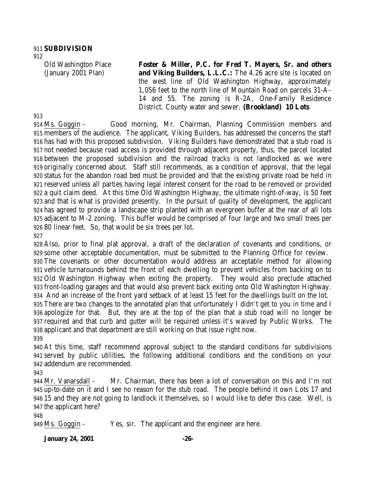## **SUBDIVISION**

Old Washington Place (January 2001 Plan)

**Foster & Miller, P.C. for Fred T. Mayers, Sr. and others and Viking Builders, L.L.C.:** The 4.26 acre site is located on the west line of Old Washington Highway, approximately 1,056 feet to the north line of Mountain Road on parcels 31-A-14 and 55. The zoning is R-2A, One-Family Residence District. County water and sewer. **(Brookland) 10 Lots**

 Ms. Goggin - Good morning, Mr. Chairman, Planning Commission members and members of the audience. The applicant, Viking Builders, has addressed the concerns the staff has had with this proposed subdivision. Viking Builders have demonstrated that a stub road is not needed because road access is provided through adjacent property, thus, the parcel located between the proposed subdivision and the railroad tracks is not landlocked as we were originally concerned about. Staff still recommends, as a condition of approval, that the legal status for the abandon road bed must be provided and that the existing private road be held in reserved unless all parties having legal interest consent for the road to be removed or provided a quit claim deed. At this time Old Washington Highway, the ultimate right-of-way, is 50 feet and that is what is provided presently. In the pursuit of quality of development, the applicant has agreed to provide a landscape strip planted with an evergreen buffer at the rear of all lots adjacent to M-2 zoning. This buffer would be comprised of four large and two small trees per 80 linear feet. So, that would be six trees per lot. 

 Also, prior to final plat approval, a draft of the declaration of covenants and conditions, or some other acceptable documentation, must be submitted to the Planning Office for review. The covenants or other documentation would address an acceptable method for allowing vehicle turnarounds behind the front of each dwelling to prevent vehicles from backing on to Old Washington Highway when exiting the property. They would also preclude attached front-loading garages and that would also prevent back exiting onto Old Washington Highway. And an increase of the front yard setback of at least 15 feet for the dwellings built on the lot. There are two changes to the annotated plan that unfortunately I didn't get to you in time and I apologize for that. But, they are at the top of the plan that a stub road will no longer be required and that curb and gutter will be required unless it's waived by Public Works. The applicant and that department are still working on that issue right now. 

 At this time, staff recommend approval subject to the standard conditions for subdivisions served by public utilities, the following additional conditions and the conditions on your addendum are recommended.

 Mr. Vanarsdall - Mr. Chairman, there has been a lot of conversation on this and I'm not up-to-date on it and I see no reason for the stub road. The people behind it own Lots 17 and 15 and they are not going to landlock it themselves, so I would like to defer this case. Well, is the applicant here?

Ms. Goggin - Yes, sir. The applicant and the engineer are here.

# **January 24, 2001 -26-**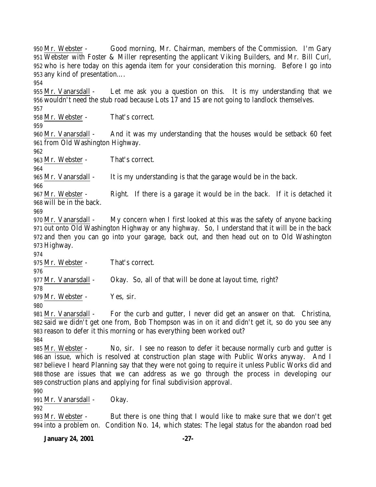Mr. Webster - Good morning, Mr. Chairman, members of the Commission. I'm Gary Webster with Foster & Miller representing the applicant Viking Builders, and Mr. Bill Curl, who is here today on this agenda item for your consideration this morning. Before I go into any kind of presentation…. Mr. Vanarsdall - Let me ask you a question on this. It is my understanding that we wouldn't need the stub road because Lots 17 and 15 are not going to landlock themselves. Mr. Webster - That's correct. Mr. Vanarsdall - And it was my understanding that the houses would be setback 60 feet from Old Washington Highway. Mr. Webster - That's correct. Mr. Vanarsdall - It is my understanding is that the garage would be in the back. Mr. Webster - Right. If there is a garage it would be in the back. If it is detached it will be in the back. 970 Mr. Vanarsdall - My concern when I first looked at this was the safety of anyone backing out onto Old Washington Highway or any highway. So, I understand that it will be in the back and then you can go into your garage, back out, and then head out on to Old Washington Highway. Mr. Webster - That's correct. Mr. Vanarsdall - Okay. So, all of that will be done at layout time, right? Mr. Webster - Yes, sir. Mr. Vanarsdall - For the curb and gutter, I never did get an answer on that. Christina, said we didn't get one from, Bob Thompson was in on it and didn't get it, so do you see any reason to defer it this morning or has everything been worked out? Mr. Webster - No, sir. I see no reason to defer it because normally curb and gutter is an issue, which is resolved at construction plan stage with Public Works anyway. And I believe I heard Planning say that they were not going to require it unless Public Works did and those are issues that we can address as we go through the process in developing our construction plans and applying for final subdivision approval. Mr. Vanarsdall - Okay. Mr. Webster - But there is one thing that I would like to make sure that we don't get into a problem on. Condition No. 14, which states: The legal status for the abandon road bed

**January 24, 2001 -27-**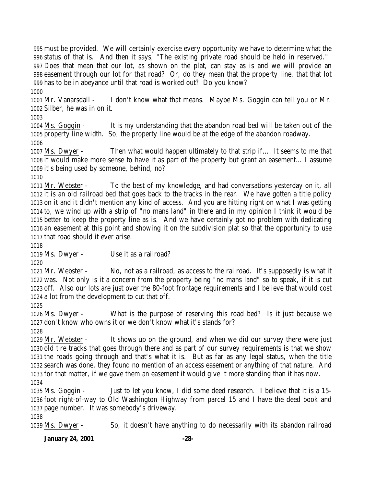must be provided. We will certainly exercise every opportunity we have to determine what the status of that is. And then it says, "The existing private road should be held in reserved." Does that mean that our lot, as shown on the plat, can stay as is and we will provide an easement through our lot for that road? Or, do they mean that the property line, that that lot has to be in abeyance until that road is worked out? Do you know? 

 Mr. Vanarsdall - I don't know what that means. Maybe Ms. Goggin can tell you or Mr. Silber, he was in on it.

 Ms. Goggin - It is my understanding that the abandon road bed will be taken out of the property line width. So, the property line would be at the edge of the abandon roadway.

 Ms. Dwyer - Then what would happen ultimately to that strip if…. It seems to me that it would make more sense to have it as part of the property but grant an easement… I assume it's being used by someone, behind, no?

 Mr. Webster - To the best of my knowledge, and had conversations yesterday on it, all it is an old railroad bed that goes back to the tracks in the rear. We have gotten a title policy on it and it didn't mention any kind of access. And you are hitting right on what I was getting to, we wind up with a strip of "no mans land" in there and in my opinion I think it would be better to keep the property line as is. And we have certainly got no problem with dedicating an easement at this point and showing it on the subdivision plat so that the opportunity to use that road should it ever arise.

Ms. Dwyer - Use it as a railroad?

 Mr. Webster - No, not as a railroad, as access to the railroad. It's supposedly is what it was. Not only is it a concern from the property being "no mans land" so to speak, if it is cut off. Also our lots are just over the 80-foot frontage requirements and I believe that would cost a lot from the development to cut that off.

 Ms. Dwyer - What is the purpose of reserving this road bed? Is it just because we don't know who owns it or we don't know what it's stands for?

 Mr. Webster - It shows up on the ground, and when we did our survey there were just old tire tracks that goes through there and as part of our survey requirements is that we show the roads going through and that's what it is. But as far as any legal status, when the title search was done, they found no mention of an access easement or anything of that nature. And for that matter, if we gave them an easement it would give it more standing than it has now. 

 Ms. Goggin - Just to let you know, I did some deed research. I believe that it is a 15- foot right-of-way to Old Washington Highway from parcel 15 and I have the deed book and page number. It was somebody's driveway.

Ms. Dwyer - So, it doesn't have anything to do necessarily with its abandon railroad

**January 24, 2001 -28-**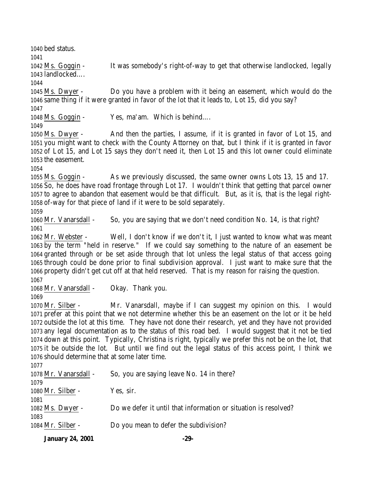bed status.

 Ms. Goggin - It was somebody's right-of-way to get that otherwise landlocked, legally landlocked….

 Ms. Dwyer - Do you have a problem with it being an easement, which would do the same thing if it were granted in favor of the lot that it leads to, Lot 15, did you say?

Ms. Goggin - Yes, ma'am. Which is behind….

 Ms. Dwyer - And then the parties, I assume, if it is granted in favor of Lot 15, and you might want to check with the County Attorney on that, but I think if it is granted in favor of Lot 15, and Lot 15 says they don't need it, then Lot 15 and this lot owner could eliminate the easement.

 Ms. Goggin - As we previously discussed, the same owner owns Lots 13, 15 and 17. So, he does have road frontage through Lot 17. I wouldn't think that getting that parcel owner to agree to abandon that easement would be that difficult. But, as it is, that is the legal right-of-way for that piece of land if it were to be sold separately.

1060 Mr. Vanarsdall - So, you are saying that we don't need condition No. 14, is that right? 

 Mr. Webster - Well, I don't know if we don't it, I just wanted to know what was meant by the term "held in reserve." If we could say something to the nature of an easement be granted through or be set aside through that lot unless the legal status of that access going through could be done prior to final subdivision approval. I just want to make sure that the property didn't get cut off at that held reserved. That is my reason for raising the question. 

Mr. Vanarsdall - Okay. Thank you.

 Mr. Silber - Mr. Vanarsdall, maybe if I can suggest my opinion on this. I would prefer at this point that we not determine whether this be an easement on the lot or it be held outside the lot at this time. They have not done their research, yet and they have not provided any legal documentation as to the status of this road bed. I would suggest that it not be tied down at this point. Typically, Christina is right, typically we prefer this not be on the lot, that it be outside the lot. But until we find out the legal status of this access point, I think we should determine that at some later time.

| 1077                  |                                                                 |
|-----------------------|-----------------------------------------------------------------|
| 1078 Mr. Vanarsdall - | So, you are saying leave No. 14 in there?                       |
| 1079                  |                                                                 |
| 1080 Mr. Silber -     | Yes, sir.                                                       |
| 1081                  |                                                                 |
| 1082 Ms. Dwyer -      | Do we defer it until that information or situation is resolved? |
| 1083                  |                                                                 |
| 1084 Mr. Silber -     | Do you mean to defer the subdivision?                           |
|                       |                                                                 |

**January 24, 2001 -29-**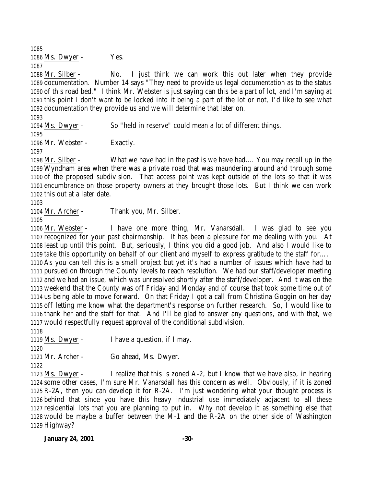1086 Ms. Dwyer - Yes. 

 Mr. Silber - No. I just think we can work this out later when they provide documentation. Number 14 says "They need to provide us legal documentation as to the status of this road bed." I think Mr. Webster is just saying can this be a part of lot, and I'm saying at this point I don't want to be locked into it being a part of the lot or not, I'd like to see what documentation they provide us and we will determine that later on.

Ms. Dwyer - So "held in reserve" could mean a lot of different things.

1096 Mr. Webster - Exactly.

 Mr. Silber - What we have had in the past is we have had…. You may recall up in the Wyndham area when there was a private road that was maundering around and through some of the proposed subdivision. That access point was kept outside of the lots so that it was encumbrance on those property owners at they brought those lots. But I think we can work this out at a later date.

Mr. Archer - Thank you, Mr. Silber.

 Mr. Webster - I have one more thing, Mr. Vanarsdall. I was glad to see you recognized for your past chairmanship. It has been a pleasure for me dealing with you. At least up until this point. But, seriously, I think you did a good job. And also I would like to take this opportunity on behalf of our client and myself to express gratitude to the staff for…. As you can tell this is a small project but yet it's had a number of issues which have had to pursued on through the County levels to reach resolution. We had our staff/developer meeting and we had an issue, which was unresolved shortly after the staff/developer. And it was on the weekend that the County was off Friday and Monday and of course that took some time out of us being able to move forward. On that Friday I got a call from Christina Goggin on her day off letting me know what the department's response on further research. So, I would like to thank her and the staff for that. And I'll be glad to answer any questions, and with that, we would respectfully request approval of the conditional subdivision. 

 Ms. Dwyer - I have a question, if I may. Mr. Archer - Go ahead, Ms. Dwyer. 

 Ms. Dwyer - I realize that this is zoned A-2, but I know that we have also, in hearing some other cases, I'm sure Mr. Vanarsdall has this concern as well. Obviously, if it is zoned R-2A, then you can develop it for R-2A. I'm just wondering what your thought process is behind that since you have this heavy industrial use immediately adjacent to all these residential lots that you are planning to put in. Why not develop it as something else that would be maybe a buffer between the M-1 and the R-2A on the other side of Washington Highway?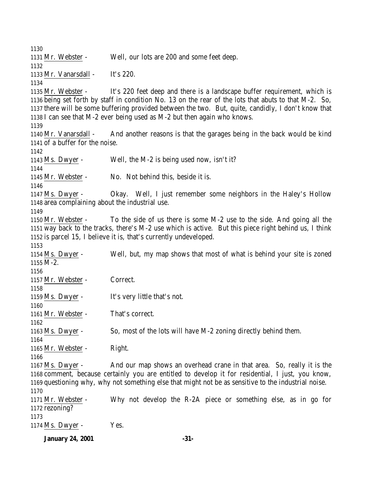Mr. Webster - Well, our lots are 200 and some feet deep. Mr. Vanarsdall - It's 220. Mr. Webster - It's 220 feet deep and there is a landscape buffer requirement, which is being set forth by staff in condition No. 13 on the rear of the lots that abuts to that M-2. So, there will be some buffering provided between the two. But, quite, candidly, I don't know that I can see that M-2 ever being used as M-2 but then again who knows. Mr. Vanarsdall - And another reasons is that the garages being in the back would be kind of a buffer for the noise. Ms. Dwyer - Well, the M-2 is being used now, isn't it? Mr. Webster - No. Not behind this, beside it is. Ms. Dwyer - Okay. Well, I just remember some neighbors in the Haley's Hollow area complaining about the industrial use. Mr. Webster - To the side of us there is some M-2 use to the side. And going all the way back to the tracks, there's M-2 use which is active. But this piece right behind us, I think is parcel 15, I believe it is, that's currently undeveloped. Ms. Dwyer - Well, but, my map shows that most of what is behind your site is zoned M-2. Mr. Webster - Correct. Ms. Dwyer - It's very little that's not. 1161 Mr. Webster - That's correct. Ms. Dwyer - So, most of the lots will have M-2 zoning directly behind them. 1165 Mr. Webster - Right. Ms. Dwyer - And our map shows an overhead crane in that area. So, really it is the comment, because certainly you are entitled to develop it for residential, I just, you know, questioning why, why not something else that might not be as sensitive to the industrial noise. Mr. Webster - Why not develop the R-2A piece or something else, as in go for rezoning? 1174 Ms. Dwyer - Yes.

**January 24, 2001 -31-**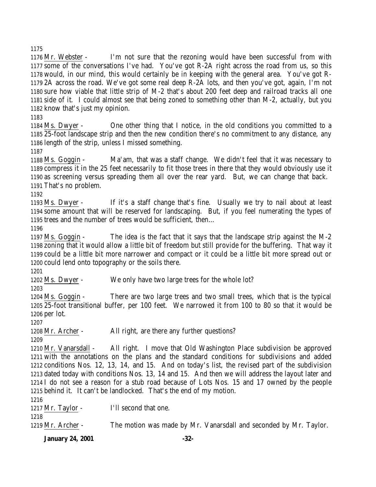Mr. Webster - I'm not sure that the rezoning would have been successful from with some of the conversations I've had. You've got R-2A right across the road from us, so this would, in our mind, this would certainly be in keeping with the general area. You've got R- 2A across the road. We've got some real deep R-2A lots, and then you've got, again, I'm not sure how viable that little strip of M-2 that's about 200 feet deep and railroad tracks all one side of it. I could almost see that being zoned to something other than M-2, actually, but you know that's just my opinion.

 Ms. Dwyer - One other thing that I notice, in the old conditions you committed to a 25-foot landscape strip and then the new condition there's no commitment to any distance, any length of the strip, unless I missed something.

 Ms. Goggin - Ma'am, that was a staff change. We didn't feel that it was necessary to compress it in the 25 feet necessarily to fit those trees in there that they would obviously use it as screening versus spreading them all over the rear yard. But, we can change that back. That's no problem.

 Ms. Dwyer - If it's a staff change that's fine. Usually we try to nail about at least some amount that will be reserved for landscaping. But, if you feel numerating the types of trees and the number of trees would be sufficient, then…

 Ms. Goggin - The idea is the fact that it says that the landscape strip against the M-2 zoning that it would allow a little bit of freedom but still provide for the buffering. That way it could be a little bit more narrower and compact or it could be a little bit more spread out or could lend onto topography or the soils there.

Ms. Dwyer - We only have two large trees for the whole lot?

 Ms. Goggin - There are two large trees and two small trees, which that is the typical 25-foot transitional buffer, per 100 feet. We narrowed it from 100 to 80 so that it would be per lot.

Mr. Archer - All right, are there any further questions?

 Mr. Vanarsdall - All right. I move that Old Washington Place subdivision be approved with the annotations on the plans and the standard conditions for subdivisions and added conditions Nos. 12, 13, 14, and 15. And on today's list, the revised part of the subdivision dated today with conditions Nos. 13, 14 and 15. And then we will address the layout later and I do not see a reason for a stub road because of Lots Nos. 15 and 17 owned by the people behind it. It can't be landlocked. That's the end of my motion.

1217 Mr. Taylor - I'll second that one.

Mr. Archer - The motion was made by Mr. Vanarsdall and seconded by Mr. Taylor.

**January 24, 2001 -32-**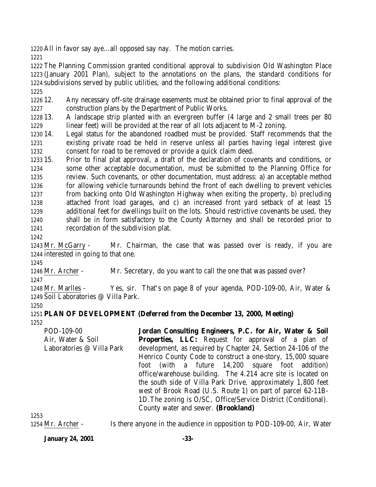All in favor say aye…all opposed say nay. The motion carries.

 The Planning Commission granted conditional approval to subdivision Old Washington Place (January 2001 Plan), subject to the annotations on the plans, the standard conditions for subdivisions served by public utilities, and the following additional conditions:

 12. Any necessary off-site drainage easements must be obtained prior to final approval of the construction plans by the Department of Public Works.

 13. A landscape strip planted with an evergreen buffer (4 large and 2 small trees per 80 linear feet) will be provided at the rear of all lots adjacent to M-2 zoning.

 14. Legal status for the abandoned roadbed must be provided. Staff recommends that the existing private road be held in reserve unless all parties having legal interest give consent for road to be removed or provide a quick claim deed.

 15. Prior to final plat approval, a draft of the declaration of covenants and conditions, or some other acceptable documentation, must be submitted to the Planning Office for review. Such covenants, or other documentation, must address: a) an acceptable method for allowing vehicle turnarounds behind the front of each dwelling to prevent vehicles from backing onto Old Washington Highway when exiting the property, b) precluding attached front load garages, and c) an increased front yard setback of at least 15 additional feet for dwellings built on the lots. Should restrictive covenants be used, they shall be in form satisfactory to the County Attorney and shall be recorded prior to recordation of the subdivision plat.

 Mr. McGarry - Mr. Chairman, the case that was passed over is ready, if you are interested in going to that one.

 Mr. Archer - Mr. Secretary, do you want to call the one that was passed over?

 Mr. Marlles - Yes, sir. That's on page 8 of your agenda, POD-109-00, Air, Water & Soil Laboratories @ Villa Park.

 **PLAN OF DEVELOPMENT (Deferred from the December 13, 2000, Meeting)** 

POD-109-00 Air, Water & Soil Laboratories @ Villa Park **Jordan Consulting Engineers, P.C. for Air, Water & Soil Properties, LLC:** Request for approval of a plan of development, as required by Chapter 24, Section 24-106 of the Henrico County Code to construct a one-story, 15,000 square foot (with a future 14,200 square foot addition) office/warehouse building. The 4.214 acre site is located on the south side of Villa Park Drive, approximately 1,800 feet west of Brook Road (U.S. Route 1) on part of parcel 62-11B-1D.The zoning is O/SC, Office/Service District (Conditional). County water and sewer. **(Brookland)** 

Mr. Archer - Is there anyone in the audience in opposition to POD-109-00, Air, Water

**January 24, 2001 -33-**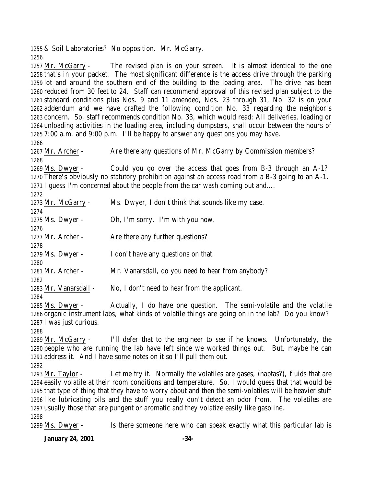& Soil Laboratories? No opposition. Mr. McGarry. 

 Mr. McGarry - The revised plan is on your screen. It is almost identical to the one that's in your packet. The most significant difference is the access drive through the parking lot and around the southern end of the building to the loading area. The drive has been reduced from 30 feet to 24. Staff can recommend approval of this revised plan subject to the standard conditions plus Nos. 9 and 11 amended, Nos. 23 through 31, No. 32 is on your addendum and we have crafted the following condition No. 33 regarding the neighbor's concern. So, staff recommends condition No. 33, which would read: All deliveries, loading or unloading activities in the loading area, including dumpsters, shall occur between the hours of 7:00 a.m. and 9:00 p.m. I'll be happy to answer any questions you may have.

1267 Mr. Archer - Are there any questions of Mr. McGarry by Commission members?

 Ms. Dwyer - Could you go over the access that goes from B-3 through an A-1? There's obviously no statutory prohibition against an access road from a B-3 going to an A-1. I guess I'm concerned about the people from the car wash coming out and….

 Mr. McGarry - Ms. Dwyer, I don't think that sounds like my case. Ms. Dwyer - Oh, I'm sorry. I'm with you now. 1277 Mr. Archer - Are there any further questions? Ms. Dwyer - I don't have any questions on that. 1281 Mr. Archer - Mr. Vanarsdall, do you need to hear from anybody? Mr. Vanarsdall - No, I don't need to hear from the applicant.

 Ms. Dwyer - Actually, I do have one question. The semi-volatile and the volatile organic instrument labs, what kinds of volatile things are going on in the lab? Do you know? I was just curious.

 Mr. McGarry - I'll defer that to the engineer to see if he knows. Unfortunately, the people who are running the lab have left since we worked things out. But, maybe he can address it. And I have some notes on it so I'll pull them out.

 Mr. Taylor - Let me try it. Normally the volatiles are gases, (naptas?), fluids that are easily volatile at their room conditions and temperature. So, I would guess that that would be that type of thing that they have to worry about and then the semi-volatiles will be heavier stuff like lubricating oils and the stuff you really don't detect an odor from. The volatiles are usually those that are pungent or aromatic and they volatize easily like gasoline. 

Ms. Dwyer - Is there someone here who can speak exactly what this particular lab is

**January 24, 2001 -34-**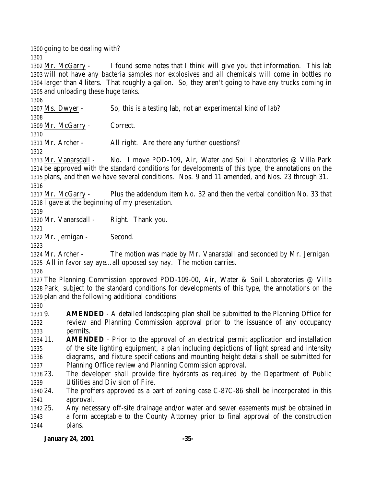going to be dealing with? 

 Mr. McGarry - I found some notes that I think will give you that information. This lab will not have any bacteria samples nor explosives and all chemicals will come in bottles no larger than 4 liters. That roughly a gallon. So, they aren't going to have any trucks coming in and unloading these huge tanks.

 Ms. Dwyer - So, this is a testing lab, not an experimental kind of lab? 

Mr. McGarry - Correct.

1311 Mr. Archer - All right. Are there any further questions?

 Mr. Vanarsdall - No. I move POD-109, Air, Water and Soil Laboratories @ Villa Park be approved with the standard conditions for developments of this type, the annotations on the plans, and then we have several conditions. Nos. 9 and 11 amended, and Nos. 23 through 31. 

 Mr. McGarry - Plus the addendum item No. 32 and then the verbal condition No. 33 that I gave at the beginning of my presentation.

Mr. Vanarsdall - Right. Thank you.

Mr. Jernigan - Second.

 Mr. Archer - The motion was made by Mr. Vanarsdall and seconded by Mr. Jernigan. All in favor say aye…all opposed say nay. The motion carries.

 The Planning Commission approved POD-109-00, Air, Water & Soil Laboratories @ Villa Park, subject to the standard conditions for developments of this type, the annotations on the plan and the following additional conditions:

 9. **AMENDED** - A detailed landscaping plan shall be submitted to the Planning Office for review and Planning Commission approval prior to the issuance of any occupancy permits.

 11. **AMENDED** - Prior to the approval of an electrical permit application and installation of the site lighting equipment, a plan including depictions of light spread and intensity diagrams, and fixture specifications and mounting height details shall be submitted for Planning Office review and Planning Commission approval.

 23. The developer shall provide fire hydrants as required by the Department of Public Utilities and Division of Fire.

 24. The proffers approved as a part of zoning case C-87C-86 shall be incorporated in this approval.

 25. Any necessary off-site drainage and/or water and sewer easements must be obtained in a form acceptable to the County Attorney prior to final approval of the construction plans.

# **January 24, 2001 -35-**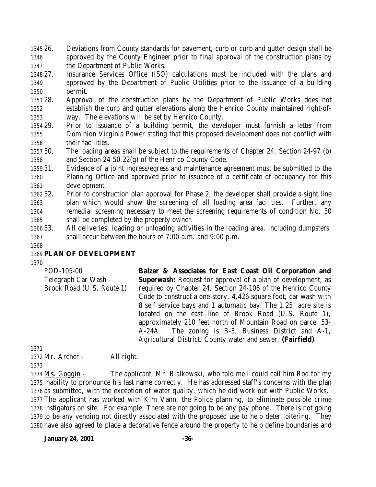- 26. Deviations from County standards for pavement, curb or curb and gutter design shall be approved by the County Engineer prior to final approval of the construction plans by the Department of Public Works.
- 27. Insurance Services Office (ISO) calculations must be included with the plans and approved by the Department of Public Utilities prior to the issuance of a building permit.
- 28. Approval of the construction plans by the Department of Public Works does not establish the curb and gutter elevations along the Henrico County maintained right-of-way. The elevations will be set by Henrico County.
- 29. Prior to issuance of a building permit, the developer must furnish a letter from Dominion Virginia Power stating that this proposed development does not conflict with their facilities.
- 30. The loading areas shall be subject to the requirements of Chapter 24, Section 24-97 (b) and Section 24-50.22(g) of the Henrico County Code.
- 31. Evidence of a joint ingress/egress and maintenance agreement must be submitted to the Planning Office and approved prior to issuance of a certificate of occupancy for this development.
- 32. Prior to construction plan approval for Phase 2, the developer shall provide a sight line plan which would show the screening of all loading area facilities. Further, any remedial screening necessary to meet the screening requirements of condition No. 30 shall be completed by the property owner.
- 33. All deliveries, loading or unloading activities in the loading area, including dumpsters, shall occur between the hours of 7:00 a.m. and 9:00 p.m.
- 

# **PLAN OF DEVELOPMENT**

| POD-105-00                | Balzer & Associates for East Coast Oil Corporation and              |
|---------------------------|---------------------------------------------------------------------|
| Telegraph Car Wash -      | <b>Superwash:</b> Request for approval of a plan of development, as |
| Brook Road (U.S. Route 1) | required by Chapter 24, Section 24-106 of the Henrico County        |
|                           | Code to construct a one-story, 4,426 square foot, car wash with     |
|                           | 8 self service bays and 1 automatic bay. The 1.25 acre site is      |
|                           | located on the east line of Brook Road (U.S. Route 1),              |
|                           | approximately 210 feet north of Mountain Road on parcel 53-         |
|                           | A-24A. The zoning is B-3, Business District and A-1,                |
|                           | Agricultural District. County water and sewer. (Fairfield)          |
| 1371                      |                                                                     |

Mr. Archer - All right.

 Ms. Goggin - The applicant, Mr. Bialkowski, who told me I could call him Rod for my inability to pronounce his last name correctly. He has addressed staff's concerns with the plan as submitted, with the exception of water quality, which he did work out with Public Works. The applicant has worked with Kim Vann, the Police planning, to eliminate possible crime instigators on site. For example: There are not going to be any pay phone. There is not going to be any vending not directly associated with the proposed use to help deter loitering. They have also agreed to place a decorative fence around the property to help define boundaries and

**January 24, 2001 -36-**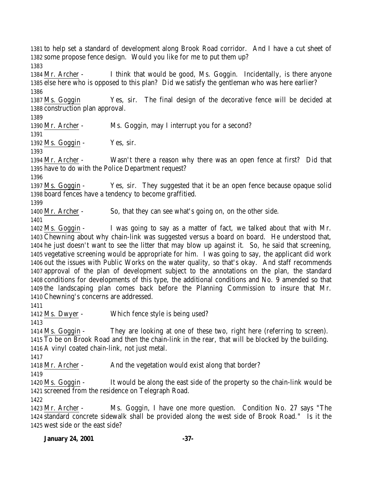to help set a standard of development along Brook Road corridor. And I have a cut sheet of some propose fence design. Would you like for me to put them up?

 Mr. Archer - I think that would be good, Ms. Goggin. Incidentally, is there anyone else here who is opposed to this plan? Did we satisfy the gentleman who was here earlier? 

 Ms. Goggin Yes, sir. The final design of the decorative fence will be decided at construction plan approval.

Mr. Archer - Ms. Goggin, may I interrupt you for a second?

Ms. Goggin - Yes, sir.

 Mr. Archer - Wasn't there a reason why there was an open fence at first? Did that have to do with the Police Department request?

 Ms. Goggin - Yes, sir. They suggested that it be an open fence because opaque solid board fences have a tendency to become graffitied.

Mr. Archer - So, that they can see what's going on, on the other side.

 Ms. Goggin - I was going to say as a matter of fact, we talked about that with Mr. Chewning about why chain-link was suggested versus a board on board. He understood that, he just doesn't want to see the litter that may blow up against it. So, he said that screening, vegetative screening would be appropriate for him. I was going to say, the applicant did work out the issues with Public Works on the water quality, so that's okay. And staff recommends approval of the plan of development subject to the annotations on the plan, the standard conditions for developments of this type, the additional conditions and No. 9 amended so that the landscaping plan comes back before the Planning Commission to insure that Mr. Chewning's concerns are addressed.

Ms. Dwyer - Which fence style is being used?

 Ms. Goggin - They are looking at one of these two, right here (referring to screen). To be on Brook Road and then the chain-link in the rear, that will be blocked by the building. A vinyl coated chain-link, not just metal.

1418 Mr. Archer - And the vegetation would exist along that border?

 Ms. Goggin - It would be along the east side of the property so the chain-link would be screened from the residence on Telegraph Road.

 Mr. Archer - Ms. Goggin, I have one more question. Condition No. 27 says "The standard concrete sidewalk shall be provided along the west side of Brook Road." Is it the west side or the east side?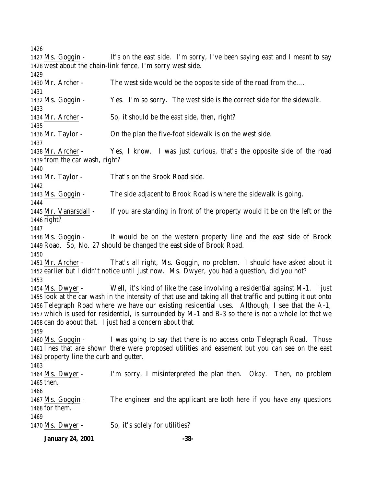Ms. Goggin - It's on the east side. I'm sorry, I've been saying east and I meant to say west about the chain-link fence, I'm sorry west side. Mr. Archer - The west side would be the opposite side of the road from the…. Ms. Goggin - Yes. I'm so sorry. The west side is the correct side for the sidewalk. Mr. Archer - So, it should be the east side, then, right? Mr. Taylor - On the plan the five-foot sidewalk is on the west side. Mr. Archer - Yes, I know. I was just curious, that's the opposite side of the road from the car wash, right? Mr. Taylor - That's on the Brook Road side. Ms. Goggin - The side adjacent to Brook Road is where the sidewalk is going. Mr. Vanarsdall - If you are standing in front of the property would it be on the left or the right? Ms. Goggin - It would be on the western property line and the east side of Brook Road. So, No. 27 should be changed the east side of Brook Road. Mr. Archer - That's all right, Ms. Goggin, no problem. I should have asked about it earlier but I didn't notice until just now. Ms. Dwyer, you had a question, did you not? Ms. Dwyer - Well, it's kind of like the case involving a residential against M-1. I just look at the car wash in the intensity of that use and taking all that traffic and putting it out onto Telegraph Road where we have our existing residential uses. Although, I see that the A-1, which is used for residential, is surrounded by M-1 and B-3 so there is not a whole lot that we can do about that. I just had a concern about that. Ms. Goggin - I was going to say that there is no access onto Telegraph Road. Those lines that are shown there were proposed utilities and easement but you can see on the east property line the curb and gutter. Ms. Dwyer - I'm sorry, I misinterpreted the plan then. Okay. Then, no problem then. Ms. Goggin - The engineer and the applicant are both here if you have any questions for them. Ms. Dwyer - So, it's solely for utilities?

**January 24, 2001 -38-**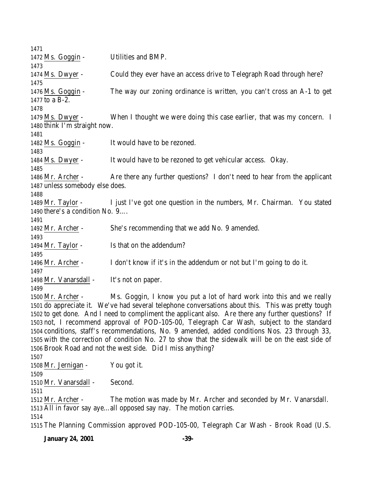Ms. Goggin - Utilities and BMP. Ms. Dwyer - Could they ever have an access drive to Telegraph Road through here? Ms. Goggin - The way our zoning ordinance is written, you can't cross an A-1 to get to a B-2. Ms. Dwyer - When I thought we were doing this case earlier, that was my concern. I think I'm straight now. Ms. Goggin - It would have to be rezoned. Ms. Dwyer - It would have to be rezoned to get vehicular access. Okay. Mr. Archer - Are there any further questions? I don't need to hear from the applicant unless somebody else does. Mr. Taylor - I just I've got one question in the numbers, Mr. Chairman. You stated there's a condition No. 9…. Mr. Archer - She's recommending that we add No. 9 amended. 1494 Mr. Taylor - Is that on the addendum? Mr. Archer - I don't know if it's in the addendum or not but I'm going to do it. 1498 Mr. Vanarsdall - It's not on paper. Mr. Archer - Ms. Goggin, I know you put a lot of hard work into this and we really do appreciate it. We've had several telephone conversations about this. This was pretty tough to get done. And I need to compliment the applicant also. Are there any further questions? If not, I recommend approval of POD-105-00, Telegraph Car Wash, subject to the standard conditions, staff's recommendations, No. 9 amended, added conditions Nos. 23 through 33, with the correction of condition No. 27 to show that the sidewalk will be on the east side of Brook Road and not the west side. Did I miss anything? Mr. Jernigan - You got it. Mr. Vanarsdall - Second. Mr. Archer - The motion was made by Mr. Archer and seconded by Mr. Vanarsdall. All in favor say aye…all opposed say nay. The motion carries. The Planning Commission approved POD-105-00, Telegraph Car Wash - Brook Road (U.S.

**January 24, 2001 -39-**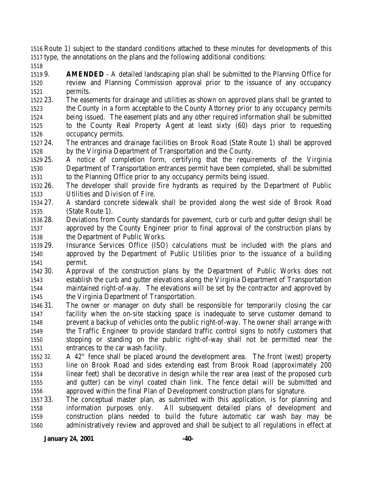Route 1) subject to the standard conditions attached to these minutes for developments of this type, the annotations on the plans and the following additional conditions:

 9. **AMENDED** - A detailed landscaping plan shall be submitted to the Planning Office for review and Planning Commission approval prior to the issuance of any occupancy permits.

- 23. The easements for drainage and utilities as shown on approved plans shall be granted to the County in a form acceptable to the County Attorney prior to any occupancy permits being issued. The easement plats and any other required information shall be submitted to the County Real Property Agent at least sixty (60) days prior to requesting occupancy permits.
- 24. The entrances and drainage facilities on Brook Road (State Route 1) shall be approved by the Virginia Department of Transportation and the County.
- 25. A notice of completion form, certifying that the requirements of the Virginia Department of Transportation entrances permit have been completed, shall be submitted to the Planning Office prior to any occupancy permits being issued.
- 26. The developer shall provide fire hydrants as required by the Department of Public Utilities and Division of Fire.
- 27. A standard concrete sidewalk shall be provided along the west side of Brook Road (State Route 1).
- 28. Deviations from County standards for pavement, curb or curb and gutter design shall be approved by the County Engineer prior to final approval of the construction plans by the Department of Public Works.
- 29. Insurance Services Office (ISO) calculations must be included with the plans and approved by the Department of Public Utilities prior to the issuance of a building permit.
- 30. Approval of the construction plans by the Department of Public Works does not establish the curb and gutter elevations along the Virginia Department of Transportation maintained right-of-way. The elevations will be set by the contractor and approved by the Virginia Department of Transportation.
- 31. The owner or manager on duty shall be responsible for temporarily closing the car facility when the on-site stacking space is inadequate to serve customer demand to prevent a backup of vehicles onto the public right-of-way. The owner shall arrange with the Traffic Engineer to provide standard traffic control signs to notify customers that stopping or standing on the public right-of-way shall not be permitted near the entrances to the car wash facility.
- 32. A 42" fence shall be placed around the development area. The front (west) property line on Brook Road and sides extending east from Brook Road (approximately 200 linear feet) shall be decorative in design while the rear area (east of the proposed curb and gutter) can be vinyl coated chain link. The fence detail will be submitted and approved within the final Plan of Development construction plans for signature.
- 33. The conceptual master plan, as submitted with this application, is for planning and information purposes only. All subsequent detailed plans of development and construction plans needed to build the future automatic car wash bay may be administratively review and approved and shall be subject to all regulations in effect at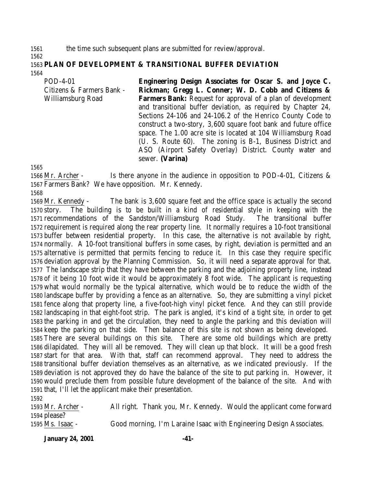the time such subsequent plans are submitted for review/approval.

 **PLAN OF DEVELOPMENT & TRANSITIONAL BUFFER DEVIATION** 

POD-4-01 Citizens & Farmers Bank - Williamsburg Road **Engineering Design Associates for Oscar S. and Joyce C. Rickman; Gregg L. Conner; W. D. Cobb and Citizens & Farmers Bank:** Request for approval of a plan of development and transitional buffer deviation, as required by Chapter 24, Sections 24-106 and 24-106.2 of the Henrico County Code to construct a two-story, 3,600 square foot bank and future office space. The 1.00 acre site is located at 104 Williamsburg Road (U. S. Route 60). The zoning is B-1, Business District and ASO (Airport Safety Overlay) District. County water and sewer. **(Varina)**

 Mr. Archer - Is there anyone in the audience in opposition to POD-4-01, Citizens & Farmers Bank? We have opposition. Mr. Kennedy.

 Mr. Kennedy - The bank is 3,600 square feet and the office space is actually the second story. The building is to be built in a kind of residential style in keeping with the recommendations of the Sandston/Williamsburg Road Study. The transitional buffer requirement is required along the rear property line. It normally requires a 10-foot transitional buffer between residential property. In this case, the alternative is not available by right, normally. A 10-foot transitional buffers in some cases, by right, deviation is permitted and an alternative is permitted that permits fencing to reduce it. In this case they require specific deviation approval by the Planning Commission. So, it will need a separate approval for that. The landscape strip that they have between the parking and the adjoining property line, instead of it being 10 foot wide it would be approximately 8 foot wide. The applicant is requesting what would normally be the typical alternative, which would be to reduce the width of the landscape buffer by providing a fence as an alternative. So, they are submitting a vinyl picket fence along that property line, a five-foot-high vinyl picket fence. And they can still provide landscaping in that eight-foot strip. The park is angled, it's kind of a tight site, in order to get the parking in and get the circulation, they need to angle the parking and this deviation will keep the parking on that side. Then balance of this site is not shown as being developed. There are several buildings on this site. There are some old buildings which are pretty dilapidated. They will all be removed. They will clean up that block. It will be a good fresh start for that area. With that, staff can recommend approval. They need to address the transitional buffer deviation themselves as an alternative, as we indicated previously. If the deviation is not approved they do have the balance of the site to put parking in. However, it would preclude them from possible future development of the balance of the site. And with that, I'll let the applicant make their presentation.

 Mr. Archer - All right. Thank you, Mr. Kennedy. Would the applicant come forward please? Ms. Isaac - Good morning, I'm Laraine Isaac with Engineering Design Associates.

**January 24, 2001 -41-**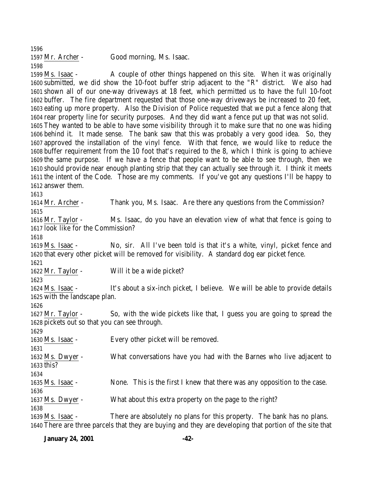| 1597 Mr. Archer - | Good morning, Ms. Isaac. |
|-------------------|--------------------------|
| 1598              |                          |

 Ms. Isaac - A couple of other things happened on this site. When it was originally submitted, we did show the 10-foot buffer strip adjacent to the "R" district. We also had shown all of our one-way driveways at 18 feet, which permitted us to have the full 10-foot buffer. The fire department requested that those one-way driveways be increased to 20 feet, eating up more property. Also the Division of Police requested that we put a fence along that rear property line for security purposes. And they did want a fence put up that was not solid. They wanted to be able to have some visibility through it to make sure that no one was hiding behind it. It made sense. The bank saw that this was probably a very good idea. So, they approved the installation of the vinyl fence. With that fence, we would like to reduce the buffer requirement from the 10 foot that's required to the 8, which I think is going to achieve the same purpose. If we have a fence that people want to be able to see through, then we should provide near enough planting strip that they can actually see through it. I think it meets the intent of the Code. Those are my comments. If you've got any questions I'll be happy to answer them.

 Mr. Archer - Thank you, Ms. Isaac. Are there any questions from the Commission? 

 Mr. Taylor - Ms. Isaac, do you have an elevation view of what that fence is going to look like for the Commission? 

 Ms. Isaac - No, sir. All I've been told is that it's a white, vinyl, picket fence and that every other picket will be removed for visibility. A standard dog ear picket fence.

 Mr. Taylor - Will it be a wide picket?

 Ms. Isaac - It's about a six-inch picket, I believe. We will be able to provide details with the landscape plan.

 Mr. Taylor - So, with the wide pickets like that, I guess you are going to spread the pickets out so that you can see through. 

Ms. Isaac - Every other picket will be removed.

 Ms. Dwyer - What conversations have you had with the Barnes who live adjacent to this?

Ms. Isaac - None. This is the first I knew that there was any opposition to the case.

Ms. Dwyer - What about this extra property on the page to the right?

 Ms. Isaac - There are absolutely no plans for this property. The bank has no plans. There are three parcels that they are buying and they are developing that portion of the site that

**January 24, 2001 -42-**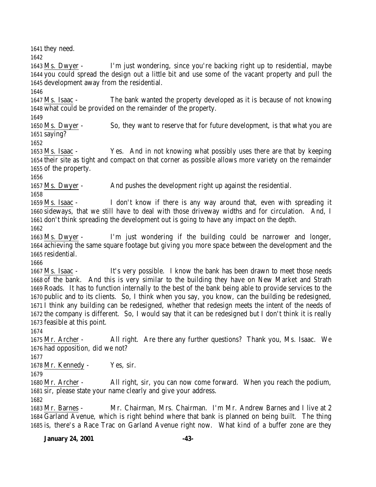they need.

 Ms. Dwyer - I'm just wondering, since you're backing right up to residential, maybe you could spread the design out a little bit and use some of the vacant property and pull the development away from the residential.

 Ms. Isaac - The bank wanted the property developed as it is because of not knowing what could be provided on the remainder of the property.

 Ms. Dwyer - So, they want to reserve that for future development, is that what you are saying?

 Ms. Isaac - Yes. And in not knowing what possibly uses there are that by keeping their site as tight and compact on that corner as possible allows more variety on the remainder of the property.

Ms. Dwyer - And pushes the development right up against the residential.

 Ms. Isaac - I don't know if there is any way around that, even with spreading it sideways, that we still have to deal with those driveway widths and for circulation. And, I don't think spreading the development out is going to have any impact on the depth.

 Ms. Dwyer - I'm just wondering if the building could be narrower and longer, achieving the same square footage but giving you more space between the development and the residential.

 Ms. Isaac - It's very possible. I know the bank has been drawn to meet those needs of the bank. And this is very similar to the building they have on New Market and Strath Roads. It has to function internally to the best of the bank being able to provide services to the public and to its clients. So, I think when you say, you know, can the building be redesigned, I think any building can be redesigned, whether that redesign meets the intent of the needs of the company is different. So, I would say that it can be redesigned but I don't think it is really feasible at this point.

 Mr. Archer - All right. Are there any further questions? Thank you, Ms. Isaac. We had opposition, did we not?

Mr. Kennedy - Yes, sir.

 Mr. Archer - All right, sir, you can now come forward. When you reach the podium, sir, please state your name clearly and give your address.

 Mr. Barnes - Mr. Chairman, Mrs. Chairman. I'm Mr. Andrew Barnes and I live at 2 Garland Avenue, which is right behind where that bank is planned on being built. The thing is, there's a Race Trac on Garland Avenue right now. What kind of a buffer zone are they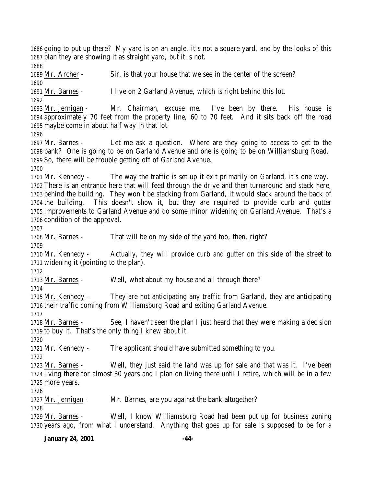going to put up there? My yard is on an angle, it's not a square yard, and by the looks of this plan they are showing it as straight yard, but it is not. 

Mr. Archer - Sir, is that your house that we see in the center of the screen?

Mr. Barnes - I live on 2 Garland Avenue, which is right behind this lot.

 Mr. Jernigan - Mr. Chairman, excuse me. I've been by there. His house is approximately 70 feet from the property line, 60 to 70 feet. And it sits back off the road maybe come in about half way in that lot.

 Mr. Barnes - Let me ask a question. Where are they going to access to get to the bank? One is going to be on Garland Avenue and one is going to be on Williamsburg Road. So, there will be trouble getting off of Garland Avenue.

 Mr. Kennedy - The way the traffic is set up it exit primarily on Garland, it's one way. There is an entrance here that will feed through the drive and then turnaround and stack here, behind the building. They won't be stacking from Garland, it would stack around the back of the building. This doesn't show it, but they are required to provide curb and gutter improvements to Garland Avenue and do some minor widening on Garland Avenue. That's a condition of the approval.

Mr. Barnes - That will be on my side of the yard too, then, right?

 Mr. Kennedy - Actually, they will provide curb and gutter on this side of the street to widening it (pointing to the plan).

Mr. Barnes - Well, what about my house and all through there?

 Mr. Kennedy - They are not anticipating any traffic from Garland, they are anticipating their traffic coming from Williamsburg Road and exiting Garland Avenue.

1718 Mr. Barnes - See, I haven't seen the plan I just heard that they were making a decision to buy it. That's the only thing I knew about it.

Mr. Kennedy - The applicant should have submitted something to you.

 Mr. Barnes - Well, they just said the land was up for sale and that was it. I've been living there for almost 30 years and I plan on living there until I retire, which will be in a few more years.

Mr. Jernigan - Mr. Barnes, are you against the bank altogether?

 Mr. Barnes - Well, I know Williamsburg Road had been put up for business zoning years ago, from what I understand. Anything that goes up for sale is supposed to be for a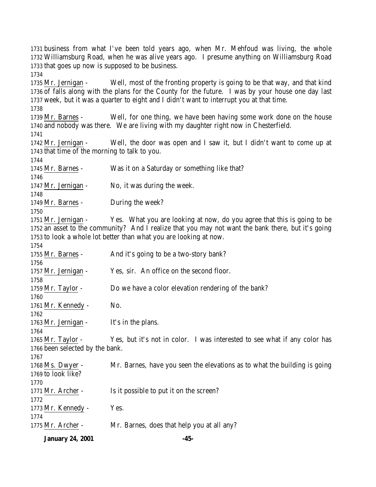business from what I've been told years ago, when Mr. Mehfoud was living, the whole Williamsburg Road, when he was alive years ago. I presume anything on Williamsburg Road that goes up now is supposed to be business. Mr. Jernigan - Well, most of the fronting property is going to be that way, and that kind of falls along with the plans for the County for the future. I was by your house one day last week, but it was a quarter to eight and I didn't want to interrupt you at that time. Mr. Barnes - Well, for one thing, we have been having some work done on the house and nobody was there. We are living with my daughter right now in Chesterfield. Mr. Jernigan - Well, the door was open and I saw it, but I didn't want to come up at that time of the morning to talk to you. Mr. Barnes - Was it on a Saturday or something like that? Mr. Jernigan - No, it was during the week. Mr. Barnes - During the week? Mr. Jernigan - Yes. What you are looking at now, do you agree that this is going to be an asset to the community? And I realize that you may not want the bank there, but it's going to look a whole lot better than what you are looking at now. 1755 Mr. Barnes - And it's going to be a two-story bank? 1757 Mr. Jernigan - Yes, sir. An office on the second floor. Mr. Taylor - Do we have a color elevation rendering of the bank? 1761 Mr. Kennedy - No. Mr. Jernigan - It's in the plans. Mr. Taylor - Yes, but it's not in color. I was interested to see what if any color has been selected by the bank. Ms. Dwyer - Mr. Barnes, have you seen the elevations as to what the building is going to look like? 1771 Mr. Archer - Is it possible to put it on the screen? 1773 Mr. Kennedy - Yes. Mr. Archer - Mr. Barnes, does that help you at all any?

**January 24, 2001 -45-**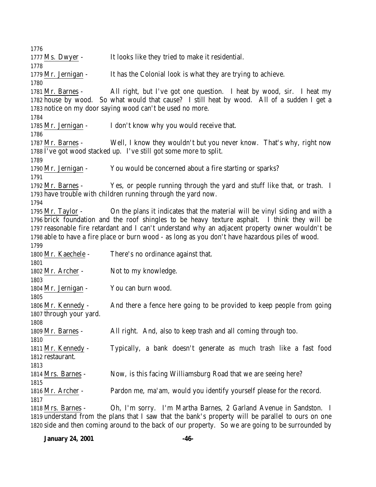Ms. Dwyer - It looks like they tried to make it residential. Mr. Jernigan - It has the Colonial look is what they are trying to achieve. Mr. Barnes - All right, but I've got one question. I heat by wood, sir. I heat my house by wood. So what would that cause? I still heat by wood. All of a sudden I get a notice on my door saying wood can't be used no more. 1785 Mr. Jernigan - I don't know why you would receive that. Mr. Barnes - Well, I know they wouldn't but you never know. That's why, right now I've got wood stacked up. I've still got some more to split. Mr. Jernigan - You would be concerned about a fire starting or sparks? Mr. Barnes - Yes, or people running through the yard and stuff like that, or trash. I have trouble with children running through the yard now. Mr. Taylor - On the plans it indicates that the material will be vinyl siding and with a brick foundation and the roof shingles to be heavy texture asphalt. I think they will be reasonable fire retardant and I can't understand why an adjacent property owner wouldn't be able to have a fire place or burn wood - as long as you don't have hazardous piles of wood. Mr. Kaechele - There's no ordinance against that. 1802 Mr. Archer - Not to my knowledge. Mr. Jernigan - You can burn wood. Mr. Kennedy - And there a fence here going to be provided to keep people from going through your yard. Mr. Barnes - All right. And, also to keep trash and all coming through too. Mr. Kennedy - Typically, a bank doesn't generate as much trash like a fast food restaurant. Mrs. Barnes - Now, is this facing Williamsburg Road that we are seeing here? Mr. Archer - Pardon me, ma'am, would you identify yourself please for the record. Mrs. Barnes - Oh, I'm sorry. I'm Martha Barnes, 2 Garland Avenue in Sandston. I understand from the plans that I saw that the bank's property will be parallel to ours on one side and then coming around to the back of our property. So we are going to be surrounded by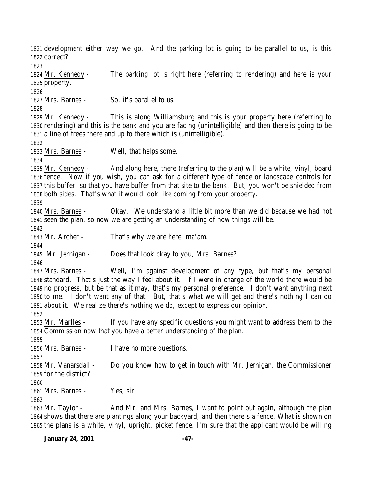development either way we go. And the parking lot is going to be parallel to us, is this correct? Mr. Kennedy - The parking lot is right here (referring to rendering) and here is your property. 1827 Mrs. Barnes - So, it's parallel to us. Mr. Kennedy - This is along Williamsburg and this is your property here (referring to rendering) and this is the bank and you are facing (unintelligible) and then there is going to be a line of trees there and up to there which is (unintelligible). Mrs. Barnes - Well, that helps some. Mr. Kennedy - And along here, there (referring to the plan) will be a white, vinyl, board fence. Now if you wish, you can ask for a different type of fence or landscape controls for this buffer, so that you have buffer from that site to the bank. But, you won't be shielded from both sides. That's what it would look like coming from your property. Mrs. Barnes - Okay. We understand a little bit more than we did because we had not seen the plan, so now we are getting an understanding of how things will be. Mr. Archer - That's why we are here, ma'am. Mr. Jernigan - Does that look okay to you, Mrs. Barnes? Mrs. Barnes - Well, I'm against development of any type, but that's my personal standard. That's just the way I feel about it. If I were in charge of the world there would be no progress, but be that as it may, that's my personal preference. I don't want anything next to me. I don't want any of that. But, that's what we will get and there's nothing I can do about it. We realize there's nothing we do, except to express our opinion. Mr. Marlles - If you have any specific questions you might want to address them to the Commission now that you have a better understanding of the plan. Mrs. Barnes - I have no more questions. Mr. Vanarsdall - Do you know how to get in touch with Mr. Jernigan, the Commissioner for the district? 1861 Mrs. Barnes - Yes, sir. 1863 Mr. Taylor - And Mr. and Mrs. Barnes, I want to point out again, although the plan shows that there are plantings along your backyard, and then there's a fence. What is shown on the plans is a white, vinyl, upright, picket fence. I'm sure that the applicant would be willing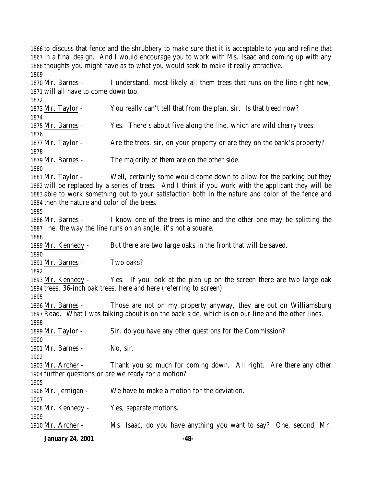to discuss that fence and the shrubbery to make sure that it is acceptable to you and refine that in a final design. And I would encourage you to work with Ms. Isaac and coming up with any thoughts you might have as to what you would seek to make it really attractive. 

 Mr. Barnes - I understand, most likely all them trees that runs on the line right now, will all have to come down too. Mr. Taylor - You really can't tell that from the plan, sir. Is that treed now? Mr. Barnes - Yes. There's about five along the line, which are wild cherry trees. 1877 Mr. Taylor - Are the trees, sir, on your property or are they on the bank's property? 1879 Mr. Barnes - The majority of them are on the other side. Mr. Taylor - Well, certainly some would come down to allow for the parking but they will be replaced by a series of trees. And I think if you work with the applicant they will be able to work something out to your satisfaction both in the nature and color of the fence and then the nature and color of the trees. Mr. Barnes - I know one of the trees is mine and the other one may be splitting the line, the way the line runs on an angle, it's not a square. Mr. Kennedy - But there are two large oaks in the front that will be saved. 1891 Mr. Barnes - Two oaks? Mr. Kennedy - Yes. If you look at the plan up on the screen there are two large oak trees, 36-inch oak trees, here and here (referring to screen). Mr. Barnes - Those are not on my property anyway, they are out on Williamsburg Road. What I was talking about is on the back side, which is on our line and the other lines. Mr. Taylor - Sir, do you have any other questions for the Commission? Mr. Barnes - No, sir. Mr. Archer - Thank you so much for coming down. All right. Are there any other further questions or are we ready for a motion? Mr. Jernigan - We have to make a motion for the deviation. Mr. Kennedy - Yes, separate motions. Mr. Archer - Ms. Isaac, do you have anything you want to say? One, second, Mr.

**January 24, 2001 -48-**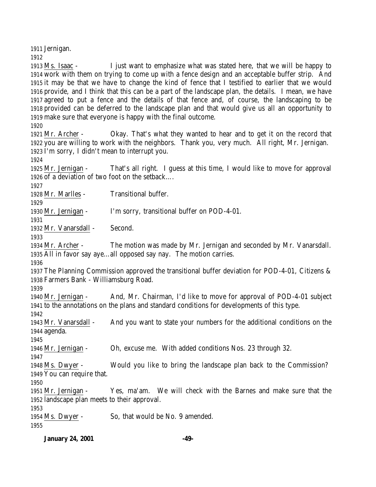Jernigan.

 Ms. Isaac - I just want to emphasize what was stated here, that we will be happy to work with them on trying to come up with a fence design and an acceptable buffer strip. And it may be that we have to change the kind of fence that I testified to earlier that we would provide, and I think that this can be a part of the landscape plan, the details. I mean, we have agreed to put a fence and the details of that fence and, of course, the landscaping to be provided can be deferred to the landscape plan and that would give us all an opportunity to make sure that everyone is happy with the final outcome.

 Mr. Archer - Okay. That's what they wanted to hear and to get it on the record that you are willing to work with the neighbors. Thank you, very much. All right, Mr. Jernigan. I'm sorry, I didn't mean to interrupt you.

 Mr. Jernigan - That's all right. I guess at this time, I would like to move for approval of a deviation of two foot on the setback….

Mr. Marlles - Transitional buffer.

Mr. Jernigan - I'm sorry, transitional buffer on POD-4-01.

Mr. Vanarsdall - Second.

 Mr. Archer - The motion was made by Mr. Jernigan and seconded by Mr. Vanarsdall. All in favor say aye…all opposed say nay. The motion carries.

 The Planning Commission approved the transitional buffer deviation for POD-4-01, Citizens & Farmers Bank - Williamsburg Road.

 Mr. Jernigan - And, Mr. Chairman, I'd like to move for approval of POD-4-01 subject to the annotations on the plans and standard conditions for developments of this type.

 Mr. Vanarsdall - And you want to state your numbers for the additional conditions on the agenda.

Mr. Jernigan - Oh, excuse me. With added conditions Nos. 23 through 32.

 Ms. Dwyer - Would you like to bring the landscape plan back to the Commission? You can require that.

 Mr. Jernigan - Yes, ma'am. We will check with the Barnes and make sure that the landscape plan meets to their approval.

Ms. Dwyer - So, that would be No. 9 amended.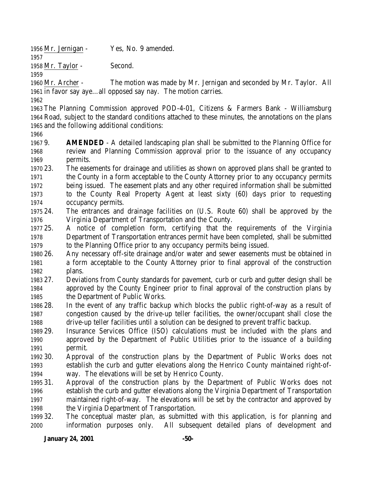Mr. Jernigan - Yes, No. 9 amended.

Mr. Taylor - Second.

 Mr. Archer - The motion was made by Mr. Jernigan and seconded by Mr. Taylor. All in favor say aye…all opposed say nay. The motion carries.

 The Planning Commission approved POD-4-01, Citizens & Farmers Bank - Williamsburg Road, subject to the standard conditions attached to these minutes, the annotations on the plans and the following additional conditions:

 9. **AMENDED** - A detailed landscaping plan shall be submitted to the Planning Office for review and Planning Commission approval prior to the issuance of any occupancy permits.

 23. The easements for drainage and utilities as shown on approved plans shall be granted to the County in a form acceptable to the County Attorney prior to any occupancy permits being issued. The easement plats and any other required information shall be submitted to the County Real Property Agent at least sixty (60) days prior to requesting occupancy permits.

 24. The entrances and drainage facilities on (U.S. Route 60) shall be approved by the Virginia Department of Transportation and the County.

 25. A notice of completion form, certifying that the requirements of the Virginia Department of Transportation entrances permit have been completed, shall be submitted to the Planning Office prior to any occupancy permits being issued.

 26. Any necessary off-site drainage and/or water and sewer easements must be obtained in a form acceptable to the County Attorney prior to final approval of the construction plans.

 27. Deviations from County standards for pavement, curb or curb and gutter design shall be approved by the County Engineer prior to final approval of the construction plans by the Department of Public Works.

 28. In the event of any traffic backup which blocks the public right-of-way as a result of congestion caused by the drive-up teller facilities, the owner/occupant shall close the drive-up teller facilities until a solution can be designed to prevent traffic backup.

 29. Insurance Services Office (ISO) calculations must be included with the plans and approved by the Department of Public Utilities prior to the issuance of a building permit.

 30. Approval of the construction plans by the Department of Public Works does not establish the curb and gutter elevations along the Henrico County maintained right-of-way. The elevations will be set by Henrico County.

 31. Approval of the construction plans by the Department of Public Works does not establish the curb and gutter elevations along the Virginia Department of Transportation maintained right-of-way. The elevations will be set by the contractor and approved by the Virginia Department of Transportation.

 32. The conceptual master plan, as submitted with this application, is for planning and information purposes only. All subsequent detailed plans of development and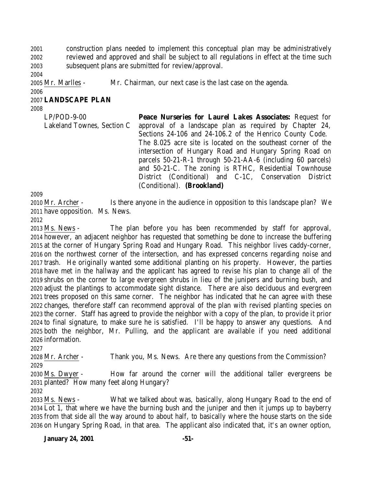construction plans needed to implement this conceptual plan may be administratively reviewed and approved and shall be subject to all regulations in effect at the time such subsequent plans are submitted for review/approval.

Mr. Marlles - Mr. Chairman, our next case is the last case on the agenda.

# **LANDSCAPE PLAN**

| $LP/POD-9-00$              | Peace Nurseries for Laurel Lakes Associates: Request for      |
|----------------------------|---------------------------------------------------------------|
| Lakeland Townes, Section C | approval of a landscape plan as required by Chapter 24,       |
|                            | Sections 24-106 and 24-106.2 of the Henrico County Code.      |
|                            | The 8.025 acre site is located on the southeast corner of the |
|                            | intersection of Hungary Road and Hungary Spring Road on       |
|                            | parcels 50-21-R-1 through 50-21-AA-6 (including 60 parcels)   |
|                            | and 50-21-C. The zoning is RTHC, Residential Townhouse        |
|                            | District (Conditional) and C-1C, Conservation District        |
|                            | (Conditional). (Brookland)                                    |

 Mr. Archer - Is there anyone in the audience in opposition to this landscape plan? We have opposition. Ms. News.

 Ms. News - The plan before you has been recommended by staff for approval, however, an adjacent neighbor has requested that something be done to increase the buffering at the corner of Hungary Spring Road and Hungary Road. This neighbor lives caddy-corner, on the northwest corner of the intersection, and has expressed concerns regarding noise and trash. He originally wanted some additional planting on his property. However, the parties have met in the hallway and the applicant has agreed to revise his plan to change all of the shrubs on the corner to large evergreen shrubs in lieu of the junipers and burning bush, and adjust the plantings to accommodate sight distance. There are also deciduous and evergreen trees proposed on this same corner. The neighbor has indicated that he can agree with these changes, therefore staff can recommend approval of the plan with revised planting species on the corner. Staff has agreed to provide the neighbor with a copy of the plan, to provide it prior to final signature, to make sure he is satisfied. I'll be happy to answer any questions. And both the neighbor, Mr. Pulling, and the applicant are available if you need additional information.

Mr. Archer - Thank you, Ms. News. Are there any questions from the Commission?

 Ms. Dwyer - How far around the corner will the additional taller evergreens be planted? How many feet along Hungary?

 Ms. News - What we talked about was, basically, along Hungary Road to the end of Lot 1, that where we have the burning bush and the juniper and then it jumps up to bayberry from that side all the way around to about half, to basically where the house starts on the side on Hungary Spring Road, in that area. The applicant also indicated that, it's an owner option,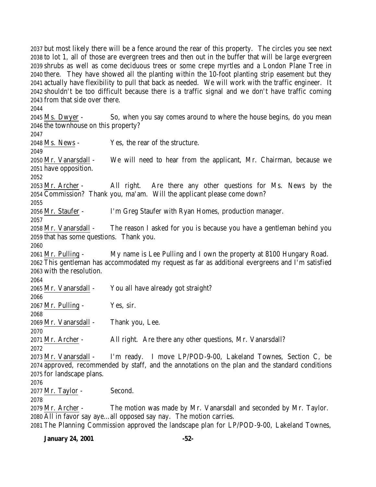but most likely there will be a fence around the rear of this property. The circles you see next to lot 1, all of those are evergreen trees and then out in the buffer that will be large evergreen shrubs as well as come deciduous trees or some crepe myrtles and a London Plane Tree in there. They have showed all the planting within the 10-foot planting strip easement but they actually have flexibility to pull that back as needed. We will work with the traffic engineer. It shouldn't be too difficult because there is a traffic signal and we don't have traffic coming from that side over there.

 Ms. Dwyer - So, when you say comes around to where the house begins, do you mean the townhouse on this property? 

 Ms. News - Yes, the rear of the structure. Mr. Vanarsdall - We will need to hear from the applicant, Mr. Chairman, because we have opposition. Mr. Archer - All right. Are there any other questions for Ms. News by the Commission? Thank you, ma'am. Will the applicant please come down? Mr. Staufer - I'm Greg Staufer with Ryan Homes, production manager. Mr. Vanarsdall - The reason I asked for you is because you have a gentleman behind you that has some questions. Thank you. Mr. Pulling - My name is Lee Pulling and I own the property at 8100 Hungary Road. This gentleman has accommodated my request as far as additional evergreens and I'm satisfied with the resolution. Mr. Vanarsdall - You all have already got straight? Mr. Pulling - Yes, sir. Mr. Vanarsdall - Thank you, Lee. 2071 Mr. Archer - All right. Are there any other questions, Mr. Vanarsdall? Mr. Vanarsdall - I'm ready. I move LP/POD-9-00, Lakeland Townes, Section C, be approved, recommended by staff, and the annotations on the plan and the standard conditions for landscape plans. Mr. Taylor - Second. Mr. Archer - The motion was made by Mr. Vanarsdall and seconded by Mr. Taylor. All in favor say aye…all opposed say nay. The motion carries.

The Planning Commission approved the landscape plan for LP/POD-9-00, Lakeland Townes,

**January 24, 2001 -52-**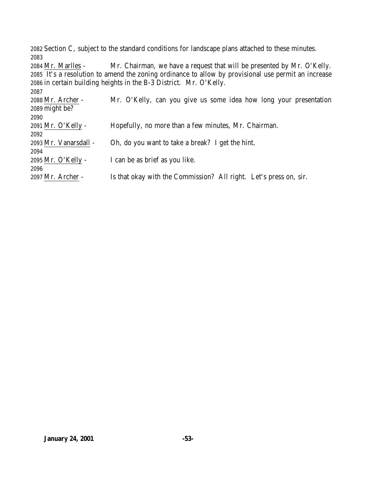Section C, subject to the standard conditions for landscape plans attached to these minutes. 

 Mr. Marlles - Mr. Chairman, we have a request that will be presented by Mr. O'Kelly. It's a resolution to amend the zoning ordinance to allow by provisional use permit an increase in certain building heights in the B-3 District. Mr. O'Kelly. 

| 2088 Mr. Archer -     | Mr. O'Kelly, can you give us some idea how long your presentation |
|-----------------------|-------------------------------------------------------------------|
| 2089 might be?        |                                                                   |
| 2090                  |                                                                   |
| 2091 Mr. O'Kelly -    | Hopefully, no more than a few minutes, Mr. Chairman.              |
| 2092                  |                                                                   |
| 2093 Mr. Vanarsdall - | Oh, do you want to take a break? I get the hint.                  |
| 2094                  |                                                                   |
| 2095 Mr. O'Kelly -    | I can be as brief as you like.                                    |
| 2096                  |                                                                   |
| 2097 Mr. Archer -     | Is that okay with the Commission? All right. Let's press on, sir. |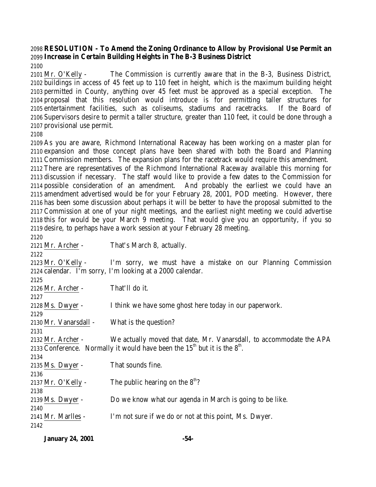# **RESOLUTION - To Amend the Zoning Ordinance to Allow by Provisional Use Permit an Increase in Certain Building Heights in The B-3 Business District**

 Mr. O'Kelly - The Commission is currently aware that in the B-3, Business District, buildings in access of 45 feet up to 110 feet in height, which is the maximum building height permitted in County, anything over 45 feet must be approved as a special exception. The proposal that this resolution would introduce is for permitting taller structures for entertainment facilities, such as coliseums, stadiums and racetracks. If the Board of Supervisors desire to permit a taller structure, greater than 110 feet, it could be done through a provisional use permit.

 As you are aware, Richmond International Raceway has been working on a master plan for expansion and those concept plans have been shared with both the Board and Planning Commission members. The expansion plans for the racetrack would require this amendment. There are representatives of the Richmond International Raceway available this morning for discussion if necessary. The staff would like to provide a few dates to the Commission for possible consideration of an amendment. And probably the earliest we could have an amendment advertised would be for your February 28, 2001, POD meeting. However, there has been some discussion about perhaps it will be better to have the proposal submitted to the Commission at one of your night meetings, and the earliest night meeting we could advertise this for would be your March 9 meeting. That would give you an opportunity, if you so desire, to perhaps have a work session at your February 28 meeting.

 Mr. Archer - That's March 8, actually. 2123 Mr. O'Kelly - I'm sorry, we must have a mistake on our Planning Commission calendar. I'm sorry, I'm looking at a 2000 calendar. Mr. Archer - That'll do it. Ms. Dwyer - I think we have some ghost here today in our paperwork. Mr. Vanarsdall - What is the question? Mr. Archer - We actually moved that date, Mr. Vanarsdall, to accommodate the APA 2133 Conference. Normally it would have been the  $15<sup>th</sup>$  but it is the  $8<sup>th</sup>$ . Ms. Dwyer - That sounds fine. 2137 Mr. O'Kelly - The public hearing on the  $8<sup>th</sup>$ ? Ms. Dwyer - Do we know what our agenda in March is going to be like. Mr. Marlles - I'm not sure if we do or not at this point, Ms. Dwyer. 

| <b>January 24, 2001</b> | -54- |
|-------------------------|------|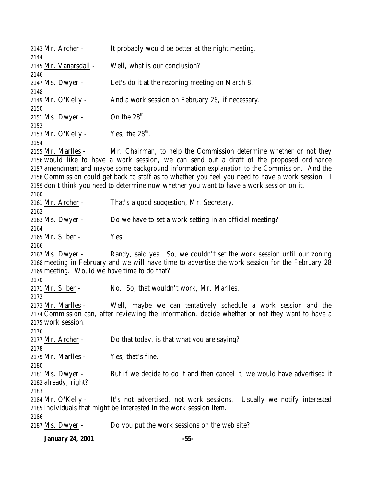| 2143 Mr. Archer -                                                | It probably would be better at the night meeting.                                                                                                                                                                                                                                                                                                                                                                                                                |
|------------------------------------------------------------------|------------------------------------------------------------------------------------------------------------------------------------------------------------------------------------------------------------------------------------------------------------------------------------------------------------------------------------------------------------------------------------------------------------------------------------------------------------------|
| 2144<br>2145 Mr. Vanarsdall -                                    | Well, what is our conclusion?                                                                                                                                                                                                                                                                                                                                                                                                                                    |
| 2146<br>2147 Ms. Dwyer -                                         | Let's do it at the rezoning meeting on March 8.                                                                                                                                                                                                                                                                                                                                                                                                                  |
| 2148<br>2149 Mr. O'Kelly -                                       | And a work session on February 28, if necessary.                                                                                                                                                                                                                                                                                                                                                                                                                 |
| 2150<br>2151 Ms. Dwyer -                                         | On the $28^{\text{th}}$ .                                                                                                                                                                                                                                                                                                                                                                                                                                        |
| 2152                                                             |                                                                                                                                                                                                                                                                                                                                                                                                                                                                  |
| 2153 Mr. O'Kelly -<br>2154                                       | Yes, the $28^{\text{th}}$ .                                                                                                                                                                                                                                                                                                                                                                                                                                      |
| 2155 Mr. Marlles -<br>2160                                       | Mr. Chairman, to help the Commission determine whether or not they<br>2156 would like to have a work session, we can send out a draft of the proposed ordinance<br>2157 amendment and maybe some background information explanation to the Commission. And the<br>2158 Commission could get back to staff as to whether you feel you need to have a work session. I<br>2159 don't think you need to determine now whether you want to have a work session on it. |
| 2161 Mr. Archer -                                                | That's a good suggestion, Mr. Secretary.                                                                                                                                                                                                                                                                                                                                                                                                                         |
| 2162<br>2163 Ms. Dwyer -                                         | Do we have to set a work setting in an official meeting?                                                                                                                                                                                                                                                                                                                                                                                                         |
| 2164<br>2165 Mr. Silber -<br>2166                                | Yes.                                                                                                                                                                                                                                                                                                                                                                                                                                                             |
| 2167 Ms. Dwyer -<br>2169 meeting. Would we have time to do that? | Randy, said yes. So, we couldn't set the work session until our zoning<br>2168 meeting in February and we will have time to advertise the work session for the February 28                                                                                                                                                                                                                                                                                       |
| 2170<br>2171 Mr. Silber -<br>2172                                | No. So, that wouldn't work, Mr. Marlles.                                                                                                                                                                                                                                                                                                                                                                                                                         |
| 2173 Mr. Marlles -<br>2175 work session.<br>2176                 | Well, maybe we can tentatively schedule a work session and the<br>2174 Commission can, after reviewing the information, decide whether or not they want to have a                                                                                                                                                                                                                                                                                                |
| 2177 Mr. Archer -<br>2178                                        | Do that today, is that what you are saying?                                                                                                                                                                                                                                                                                                                                                                                                                      |
| 2179 Mr. Marlles -<br>2180                                       | Yes, that's fine.                                                                                                                                                                                                                                                                                                                                                                                                                                                |
| 2181 Ms. Dwyer -<br>2182 already, right?<br>2183                 | But if we decide to do it and then cancel it, we would have advertised it                                                                                                                                                                                                                                                                                                                                                                                        |
| 2184 Mr. O'Kelly -                                               | It's not advertised, not work sessions.<br>Usually we notify interested<br>2185 individuals that might be interested in the work session item.                                                                                                                                                                                                                                                                                                                   |
| 2186<br>2187 Ms. Dwyer -                                         | Do you put the work sessions on the web site?                                                                                                                                                                                                                                                                                                                                                                                                                    |

**January 24, 2001 -55-**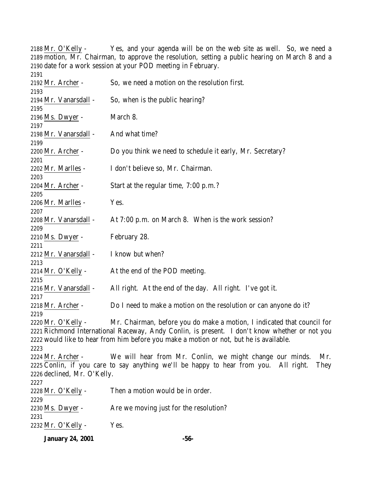Mr. O'Kelly - Yes, and your agenda will be on the web site as well. So, we need a motion, Mr. Chairman, to approve the resolution, setting a public hearing on March 8 and a date for a work session at your POD meeting in February. Mr. Archer - So, we need a motion on the resolution first. Mr. Vanarsdall - So, when is the public hearing? Ms. Dwyer - March 8. Mr. Vanarsdall - And what time? Mr. Archer - Do you think we need to schedule it early, Mr. Secretary? Mr. Marlles - I don't believe so, Mr. Chairman. 2204 Mr. Archer - Start at the regular time, 7:00 p.m.? 2206 Mr. Marlles - Yes. 2208 Mr. Vanarsdall - At 7:00 p.m. on March 8. When is the work session? Ms. Dwyer - February 28. Mr. Vanarsdall - I know but when? Mr. O'Kelly - At the end of the POD meeting. Mr. Vanarsdall - All right. At the end of the day. All right. I've got it. Mr. Archer - Do I need to make a motion on the resolution or can anyone do it? Mr. O'Kelly - Mr. Chairman, before you do make a motion, I indicated that council for Richmond International Raceway, Andy Conlin, is present. I don't know whether or not you would like to hear from him before you make a motion or not, but he is available. Mr. Archer - We will hear from Mr. Conlin, we might change our minds. Mr. Conlin, if you care to say anything we'll be happy to hear from you. All right. They declined, Mr. O'Kelly. Mr. O'Kelly - Then a motion would be in order. 2230 Ms. Dwyer - Are we moving just for the resolution? Mr. O'Kelly - Yes.

**January 24, 2001 -56-**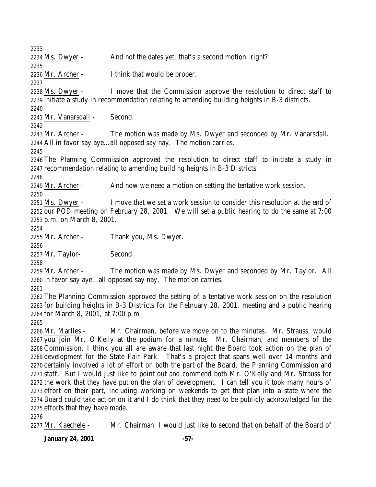2234 Ms. Dwyer - And not the dates yet, that's a second motion, right? Mr. Archer - I think that would be proper. Ms. Dwyer - I move that the Commission approve the resolution to direct staff to initiate a study in recommendation relating to amending building heights in B-3 districts. Mr. Vanarsdall - Second. Mr. Archer - The motion was made by Ms. Dwyer and seconded by Mr. Vanarsdall. All in favor say aye…all opposed say nay. The motion carries. The Planning Commission approved the resolution to direct staff to initiate a study in recommendation relating to amending building heights in B-3 Districts. 2249 Mr. Archer - And now we need a motion on setting the tentative work session. 2251 Ms. Dwyer - I move that we set a work session to consider this resolution at the end of our POD meeting on February 28, 2001. We will set a public hearing to do the same at 7:00 p.m. on March 8, 2001. Mr. Archer - Thank you, Ms. Dwyer. Mr. Taylor- Second. Mr. Archer - The motion was made by Ms. Dwyer and seconded by Mr. Taylor. All in favor say aye…all opposed say nay. The motion carries. The Planning Commission approved the setting of a tentative work session on the resolution for building heights in B-3 Districts for the February 28, 2001, meeting and a public hearing for March 8, 2001, at 7:00 p.m. Mr. Marlles - Mr. Chairman, before we move on to the minutes. Mr. Strauss, would you join Mr. O'Kelly at the podium for a minute. Mr. Chairman, and members of the Commission, I think you all are aware that last night the Board took action on the plan of development for the State Fair Park. That's a project that spans well over 14 months and certainly involved a lot of effort on both the part of the Board, the Planning Commission and

 staff. But I would just like to point out and commend both Mr. O'Kelly and Mr. Strauss for the work that they have put on the plan of development. I can tell you it took many hours of effort on their part, including working on weekends to get that plan into a state where the Board could take action on it and I do think that they need to be publicly acknowledged for the efforts that they have made.

2277 Mr. Kaechele - Mr. Chairman, I would just like to second that on behalf of the Board of

**January 24, 2001 -57-**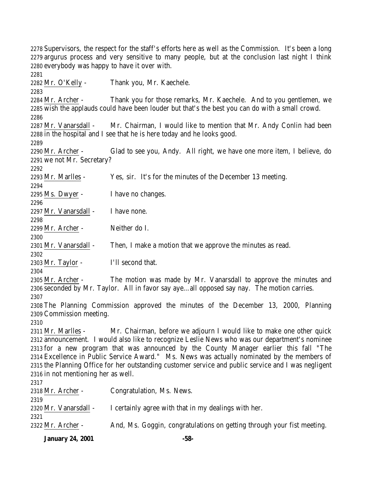Supervisors, the respect for the staff's efforts here as well as the Commission. It's been a long argurus process and very sensitive to many people, but at the conclusion last night I think everybody was happy to have it over with. Mr. O'Kelly - Thank you, Mr. Kaechele. Mr. Archer - Thank you for those remarks, Mr. Kaechele. And to you gentlemen, we wish the applauds could have been louder but that's the best you can do with a small crowd. 2287 Mr. Vanarsdall - Mr. Chairman, I would like to mention that Mr. Andy Conlin had been in the hospital and I see that he is here today and he looks good. Mr. Archer - Glad to see you, Andy. All right, we have one more item, I believe, do we not Mr. Secretary? Mr. Marlles - Yes, sir. It's for the minutes of the December 13 meeting. Ms. Dwyer - I have no changes. Mr. Vanarsdall - I have none. Mr. Archer - Neither do I. Mr. Vanarsdall - Then, I make a motion that we approve the minutes as read. Mr. Taylor - I'll second that. 2305 Mr. Archer - The motion was made by Mr. Vanarsdall to approve the minutes and seconded by Mr. Taylor. All in favor say aye…all opposed say nay. The motion carries. The Planning Commission approved the minutes of the December 13, 2000, Planning Commission meeting. 2311 Mr. Marlles - Mr. Chairman, before we adjourn I would like to make one other quick announcement. I would also like to recognize Leslie News who was our department's nominee for a new program that was announced by the County Manager earlier this fall "The Excellence in Public Service Award." Ms. News was actually nominated by the members of the Planning Office for her outstanding customer service and public service and I was negligent in not mentioning her as well. Mr. Archer - Congratulation, Ms. News. 2320 Mr. Vanarsdall - I certainly agree with that in my dealings with her. 2322 Mr. Archer - And, Ms. Goggin, congratulations on getting through your fist meeting.

**January 24, 2001 -58-**